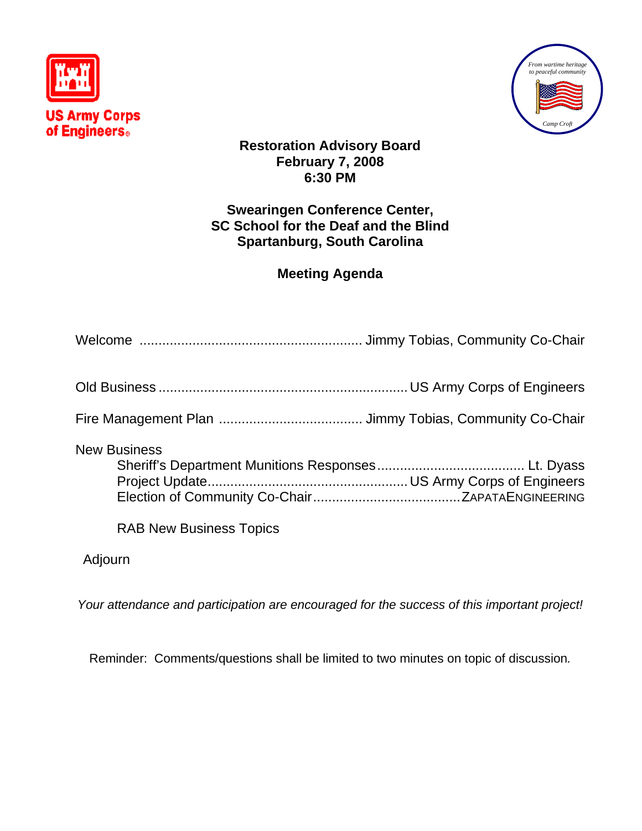



**Restoration Advisory Board February 7, 2008 6:30 PM** 

# **Swearingen Conference Center, SC School for the Deaf and the Blind Spartanburg, South Carolina**

# **Meeting Agenda**

| <b>New Business</b>            |  |
|--------------------------------|--|
| <b>RAB New Business Topics</b> |  |

Adjourn

*Your attendance and participation are encouraged for the success of this important project!*

Reminder: Comments/questions shall be limited to two minutes on topic of discussion*.*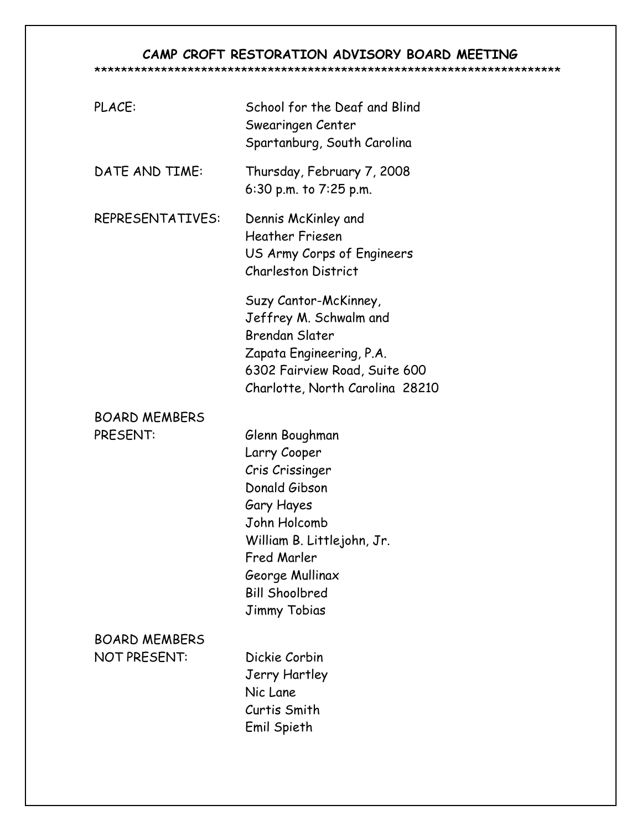# **CAMP CROFT RESTORATION ADVISORY BOARD MEETING**

#### \*\*\*\*\*\*\*\*\*\*\*\*\*\*\*\*\*\*\*\*\*\*\*\*\*\*\*\*\*\*\*\*\*\*\*\*\*\*\*\*\*\*\*\*\*\*\*\*\*\*\*\*\*\*\*\*\*\*\*\*\*\*\*\*\*\*\*\*\*\*

| PLACE:                                      | School for the Deaf and Blind<br>Swearingen Center<br>Spartanburg, South Carolina                                                                                                                                       |
|---------------------------------------------|-------------------------------------------------------------------------------------------------------------------------------------------------------------------------------------------------------------------------|
| DATE AND TIME:                              | Thursday, February 7, 2008<br>6:30 p.m. to 7:25 p.m.                                                                                                                                                                    |
| REPRESENTATIVES:                            | Dennis McKinley and<br><b>Heather Friesen</b><br>US Army Corps of Engineers<br><b>Charleston District</b>                                                                                                               |
|                                             | Suzy Cantor-McKinney,<br>Jeffrey M. Schwalm and<br><b>Brendan Slater</b><br>Zapata Engineering, P.A.<br>6302 Fairview Road, Suite 600<br>Charlotte, North Carolina 28210                                                |
| <b>BOARD MEMBERS</b><br>PRESENT:            | Glenn Boughman<br>Larry Cooper<br>Cris Crissinger<br>Donald Gibson<br>Gary Hayes<br>John Holcomb<br>William B. Littlejohn, Jr.<br><b>Fred Marler</b><br>George Mullinax<br><b>Bill Shoolbred</b><br><b>Jimmy Tobias</b> |
| <b>BOARD MEMBERS</b><br><b>NOT PRESENT:</b> | Dickie Corbin<br>Jerry Hartley<br>Nic Lane<br>Curtis Smith<br>Emil Spieth                                                                                                                                               |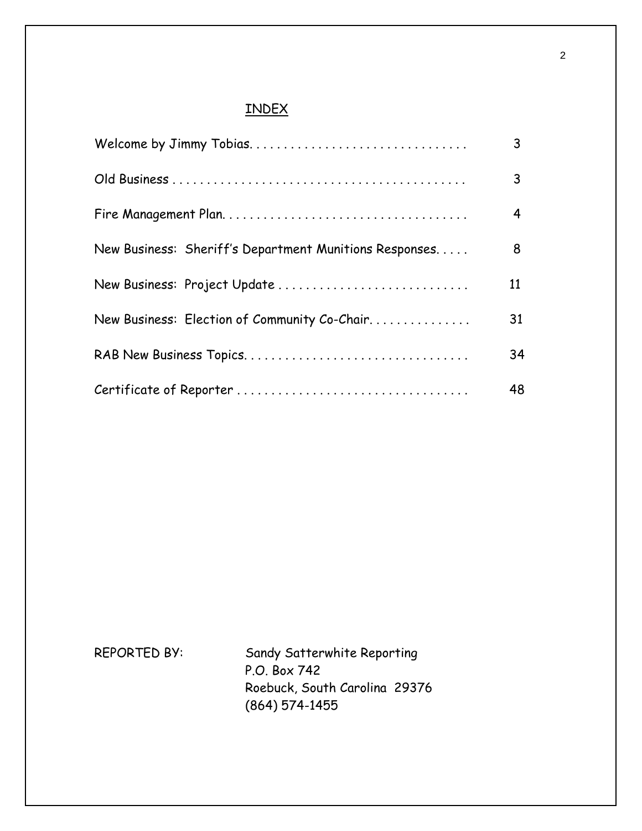# INDEX

|                                                        | 3  |
|--------------------------------------------------------|----|
|                                                        | 3  |
|                                                        | 4  |
| New Business: Sheriff's Department Munitions Responses | 8  |
| New Business: Project Update                           | 11 |
| New Business: Election of Community Co-Chair           | 31 |
|                                                        | 34 |
|                                                        | 48 |

REPORTED BY: Sandy Satterwhite Reporting P.O. Box 742 Roebuck, South Carolina 29376 (864) 574-1455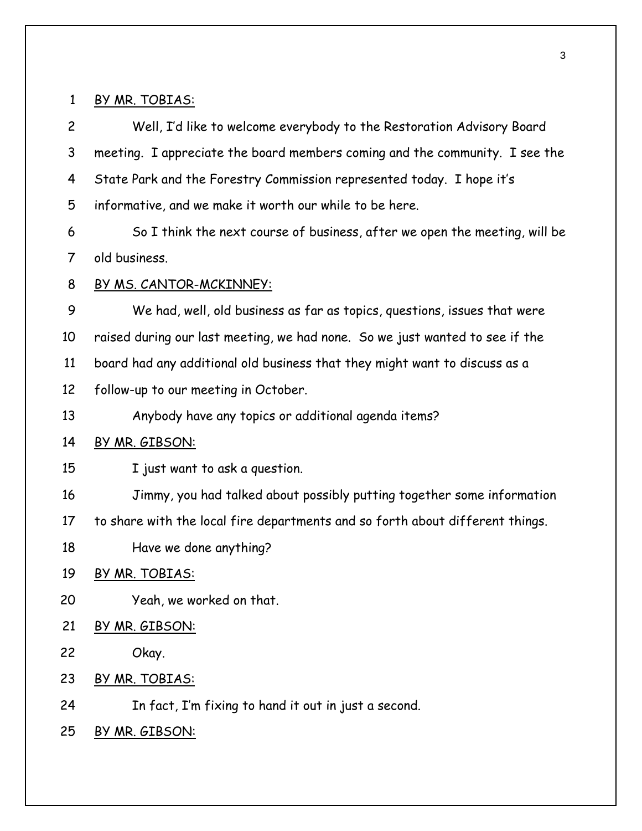1 BY MR. TOBIAS:

2 3 4 5 Well, I'd like to welcome everybody to the Restoration Advisory Board meeting. I appreciate the board members coming and the community. I see the State Park and the Forestry Commission represented today. I hope it's informative, and we make it worth our while to be here.

6 7 So I think the next course of business, after we open the meeting, will be old business.

8 BY MS. CANTOR-MCKINNEY:

9 10 11 12 We had, well, old business as far as topics, questions, issues that were raised during our last meeting, we had none. So we just wanted to see if the board had any additional old business that they might want to discuss as a

follow-up to our meeting in October.

13 Anybody have any topics or additional agenda items?

#### 14 BY MR. GIBSON:

- 15 I just want to ask a question.
- 16 Jimmy, you had talked about possibly putting together some information
- 17 to share with the local fire departments and so forth about different things.
- 18 Have we done anything?

# 19 BY MR. TOBIAS:

- 20 Yeah, we worked on that.
- 21 BY MR. GIBSON:
- 22 Okay.
- 23 BY MR. TOBIAS:
- 24 In fact, I'm fixing to hand it out in just a second.
- 25 BY MR. GIBSON: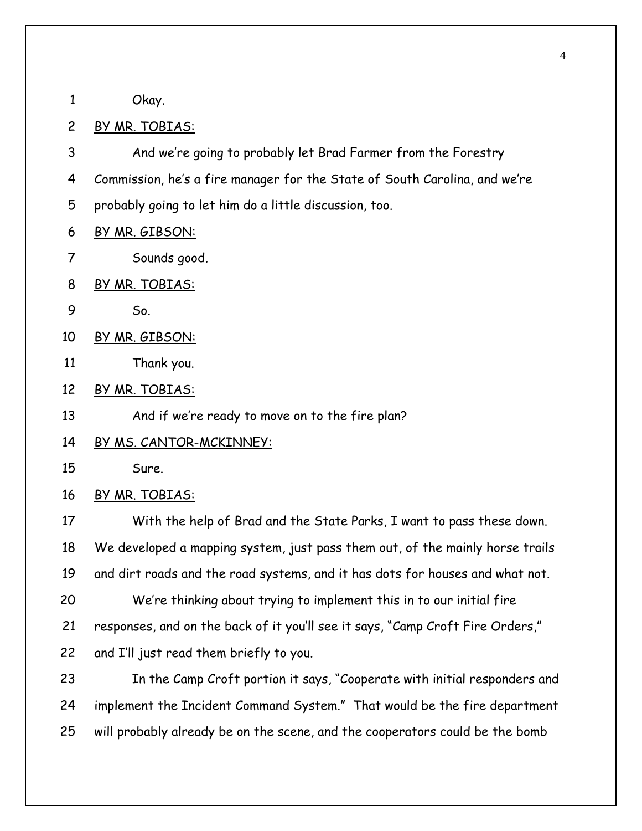1 Okay.

#### 2 BY MR. TOBIAS:

3 4 And we're going to probably let Brad Farmer from the Forestry Commission, he's a fire manager for the State of South Carolina, and we're

- 5 probably going to let him do a little discussion, too.
- 6 BY MR. GIBSON:
- 7 Sounds good.
- 8 BY MR. TOBIAS:
- 9 So.
- 10 BY MR. GIBSON:
- 11 Thank you.
- 12 BY MR. TOBIAS:
- 13 And if we're ready to move on to the fire plan?
- 14 BY MS. CANTOR-MCKINNEY:
- 15 Sure.
- 16 BY MR. TOBIAS:

17 18 19 With the help of Brad and the State Parks, I want to pass these down. We developed a mapping system, just pass them out, of the mainly horse trails and dirt roads and the road systems, and it has dots for houses and what not.

- 20 21 We're thinking about trying to implement this in to our initial fire responses, and on the back of it you'll see it says, "Camp Croft Fire Orders,"
- 22 and I'll just read them briefly to you.

23 24 25 In the Camp Croft portion it says, "Cooperate with initial responders and implement the Incident Command System." That would be the fire department will probably already be on the scene, and the cooperators could be the bomb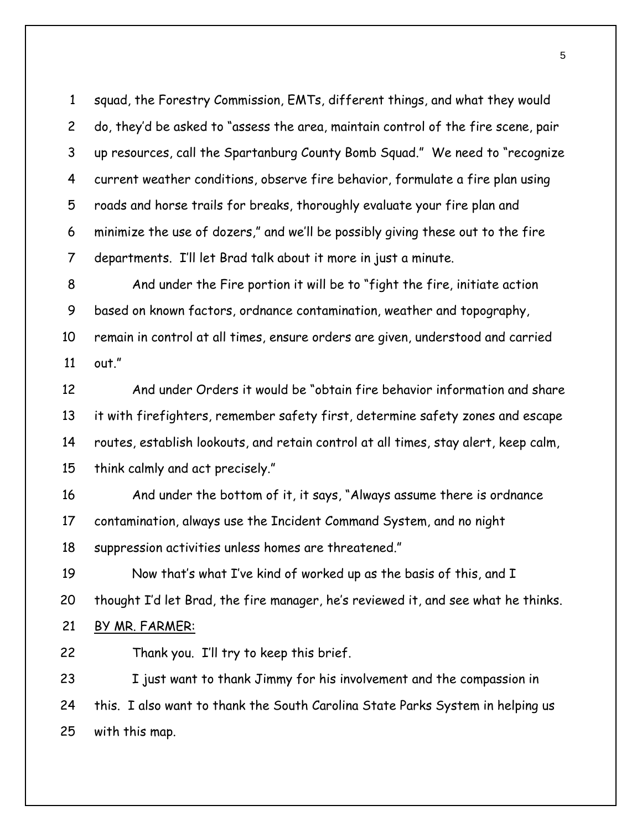squad, the Forestry Commission, EMTs, different things, and what they would do, they'd be asked to "assess the area, maintain control of the fire scene, pair up resources, call the Spartanburg County Bomb Squad." We need to "recognize current weather conditions, observe fire behavior, formulate a fire plan using roads and horse trails for breaks, thoroughly evaluate your fire plan and minimize the use of dozers," and we'll be possibly giving these out to the fire departments. I'll let Brad talk about it more in just a minute. 1 2 3 4 5 6 7

8 9 10 11 And under the Fire portion it will be to "fight the fire, initiate action based on known factors, ordnance contamination, weather and topography, remain in control at all times, ensure orders are given, understood and carried out."

12 13 14 15 And under Orders it would be "obtain fire behavior information and share it with firefighters, remember safety first, determine safety zones and escape routes, establish lookouts, and retain control at all times, stay alert, keep calm, think calmly and act precisely."

16 17 18 And under the bottom of it, it says, "Always assume there is ordnance contamination, always use the Incident Command System, and no night suppression activities unless homes are threatened."

19 20 Now that's what I've kind of worked up as the basis of this, and I thought I'd let Brad, the fire manager, he's reviewed it, and see what he thinks.

# 21 BY MR. FARMER:

22 Thank you. I'll try to keep this brief.

23 24 25 I just want to thank Jimmy for his involvement and the compassion in this. I also want to thank the South Carolina State Parks System in helping us with this map.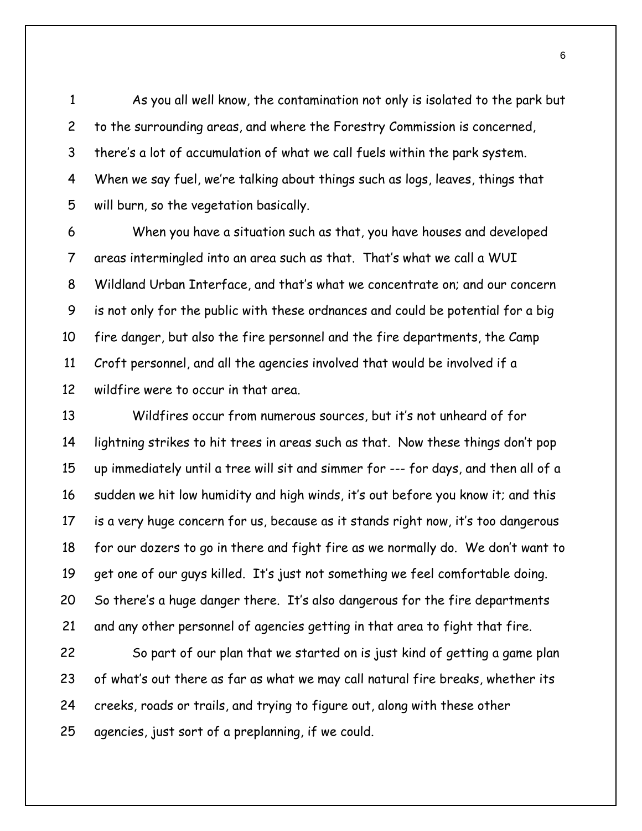As you all well know, the contamination not only is isolated to the park but to the surrounding areas, and where the Forestry Commission is concerned, there's a lot of accumulation of what we call fuels within the park system. When we say fuel, we're talking about things such as logs, leaves, things that will burn, so the vegetation basically. 1 2 3 4 5

6 7 8 9 10 11 12 When you have a situation such as that, you have houses and developed areas intermingled into an area such as that. That's what we call a WUI Wildland Urban Interface, and that's what we concentrate on; and our concern is not only for the public with these ordnances and could be potential for a big fire danger, but also the fire personnel and the fire departments, the Camp Croft personnel, and all the agencies involved that would be involved if a wildfire were to occur in that area.

13 14 15 16 17 18 19 20 21 Wildfires occur from numerous sources, but it's not unheard of for lightning strikes to hit trees in areas such as that. Now these things don't pop up immediately until a tree will sit and simmer for --- for days, and then all of a sudden we hit low humidity and high winds, it's out before you know it; and this is a very huge concern for us, because as it stands right now, it's too dangerous for our dozers to go in there and fight fire as we normally do. We don't want to get one of our guys killed. It's just not something we feel comfortable doing. So there's a huge danger there. It's also dangerous for the fire departments and any other personnel of agencies getting in that area to fight that fire.

22 23 24 25 So part of our plan that we started on is just kind of getting a game plan of what's out there as far as what we may call natural fire breaks, whether its creeks, roads or trails, and trying to figure out, along with these other agencies, just sort of a preplanning, if we could.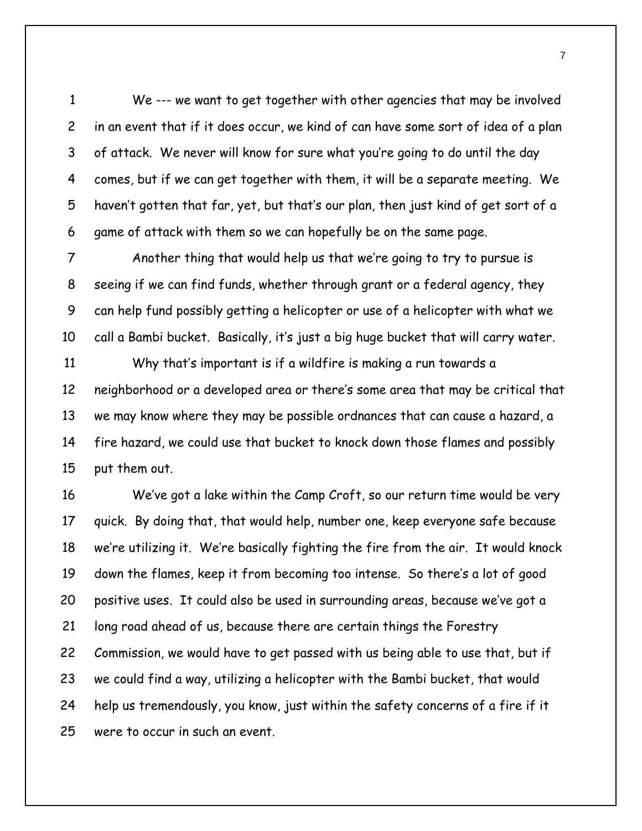We --- we want to get together with other agencies that may be involved in an event that if it does occur, we kind of can have some sort of idea of a plan of attack. We never will know for sure what you're going to do until the day comes, but if we can get together with them, it will be a separate meeting. We haven't gotten that far, yet, but that's our plan, then just kind of get sort of a game of attack with them so we can hopefully be on the same page. 1 2 3 4 5 6

7 8 9 10 Another thing that would help us that we're going to try to pursue is seeing if we can find funds, whether through grant or a federal agency, they can help fund possibly getting a helicopter or use of a helicopter with what we call a Bambi bucket. Basically, it's just a big huge bucket that will carry water.

11 12 13 14 15 Why that's important is if a wildfire is making a run towards a neighborhood or a developed area or there's some area that may be critical that we may know where they may be possible ordnances that can cause a hazard, a fire hazard, we could use that bucket to knock down those flames and possibly put them out.

16 17 18 19 20 21 22 23 24 25 We've got a lake within the Camp Croft, so our return time would be very quick. By doing that, that would help, number one, keep everyone safe because we're utilizing it. We're basically fighting the fire from the air. It would knock down the flames, keep it from becoming too intense. So there's a lot of good positive uses. It could also be used in surrounding areas, because we've got a long road ahead of us, because there are certain things the Forestry Commission, we would have to get passed with us being able to use that, but if we could find a way, utilizing a helicopter with the Bambi bucket, that would help us tremendously, you know, just within the safety concerns of a fire if it were to occur in such an event.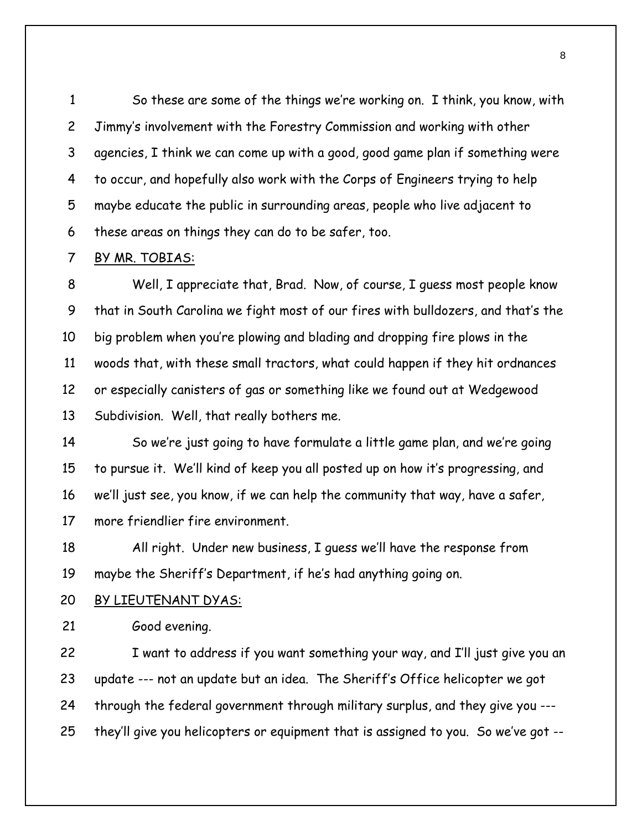So these are some of the things we're working on. I think, you know, with Jimmy's involvement with the Forestry Commission and working with other agencies, I think we can come up with a good, good game plan if something were to occur, and hopefully also work with the Corps of Engineers trying to help maybe educate the public in surrounding areas, people who live adjacent to these areas on things they can do to be safer, too. 1 2 3 4 5 6

#### 7 BY MR. TOBIAS:

8 9 10 11 12 13 Well, I appreciate that, Brad. Now, of course, I guess most people know that in South Carolina we fight most of our fires with bulldozers, and that's the big problem when you're plowing and blading and dropping fire plows in the woods that, with these small tractors, what could happen if they hit ordnances or especially canisters of gas or something like we found out at Wedgewood Subdivision. Well, that really bothers me.

14 15 16 17 So we're just going to have formulate a little game plan, and we're going to pursue it. We'll kind of keep you all posted up on how it's progressing, and we'll just see, you know, if we can help the community that way, have a safer, more friendlier fire environment.

18 19 All right. Under new business, I guess we'll have the response from maybe the Sheriff's Department, if he's had anything going on.

#### 20 BY LIEUTENANT DYAS:

21 Good evening.

22 23 24 25 I want to address if you want something your way, and I'll just give you an update --- not an update but an idea. The Sheriff's Office helicopter we got through the federal government through military surplus, and they give you -- they'll give you helicopters or equipment that is assigned to you. So we've got --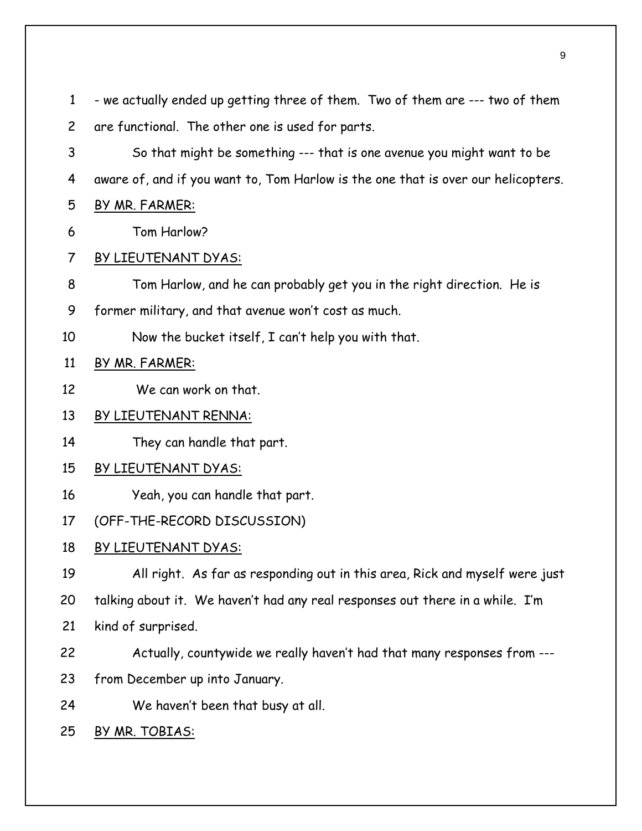- we actually ended up getting three of them. Two of them are --- two of them are functional. The other one is used for parts. 1 2

3 4 So that might be something --- that is one avenue you might want to be aware of, and if you want to, Tom Harlow is the one that is over our helicopters.

5 BY MR. FARMER:

6 Tom Harlow?

#### 7 BY LIEUTENANT DYAS:

- 8 Tom Harlow, and he can probably get you in the right direction. He is
- 9 former military, and that avenue won't cost as much.
- 10 Now the bucket itself, I can't help you with that.

# 11 BY MR. FARMER:

12 We can work on that.

# 13 BY LIEUTENANT RENNA:

14 They can handle that part.

# 15 BY LIEUTENANT DYAS:

16 Yeah, you can handle that part.

#### 17 (OFF-THE-RECORD DISCUSSION)

# 18 BY LIEUTENANT DYAS:

19 20 All right. As far as responding out in this area, Rick and myself were just talking about it. We haven't had any real responses out there in a while. I'm

- 21 kind of surprised.
- 22 Actually, countywide we really haven't had that many responses from ---
- 23 from December up into January.
- 24 We haven't been that busy at all.
- 25 BY MR. TOBIAS: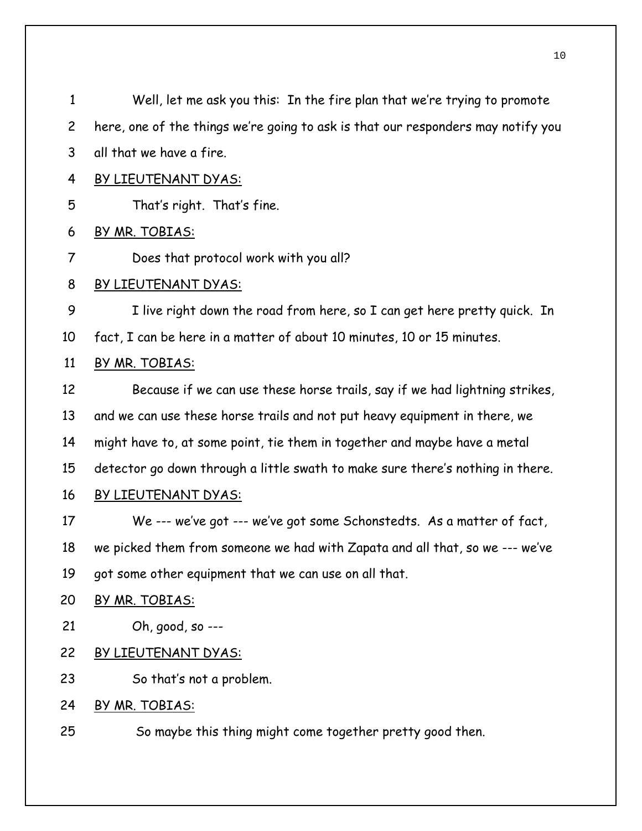Well, let me ask you this: In the fire plan that we're trying to promote here, one of the things we're going to ask is that our responders may notify you all that we have a fire. 1 2 3 4 BY LIEUTENANT DYAS: 5 That's right. That's fine. 6 BY MR. TOBIAS: 7 Does that protocol work with you all? 8 BY LIEUTENANT DYAS: 9 10 I live right down the road from here, so I can get here pretty quick. In fact, I can be here in a matter of about 10 minutes, 10 or 15 minutes. 11 BY MR. TOBIAS: 12 13 14 15 Because if we can use these horse trails, say if we had lightning strikes, and we can use these horse trails and not put heavy equipment in there, we might have to, at some point, tie them in together and maybe have a metal detector go down through a little swath to make sure there's nothing in there. 16 BY LIEUTENANT DYAS: 17 18 19 We --- we've got --- we've got some Schonstedts. As a matter of fact, we picked them from someone we had with Zapata and all that, so we --- we've got some other equipment that we can use on all that. 20 BY MR. TOBIAS: 21 Oh, good, so --- 22 BY LIEUTENANT DYAS: 23 So that's not a problem. 24 BY MR. TOBIAS: 25 So maybe this thing might come together pretty good then.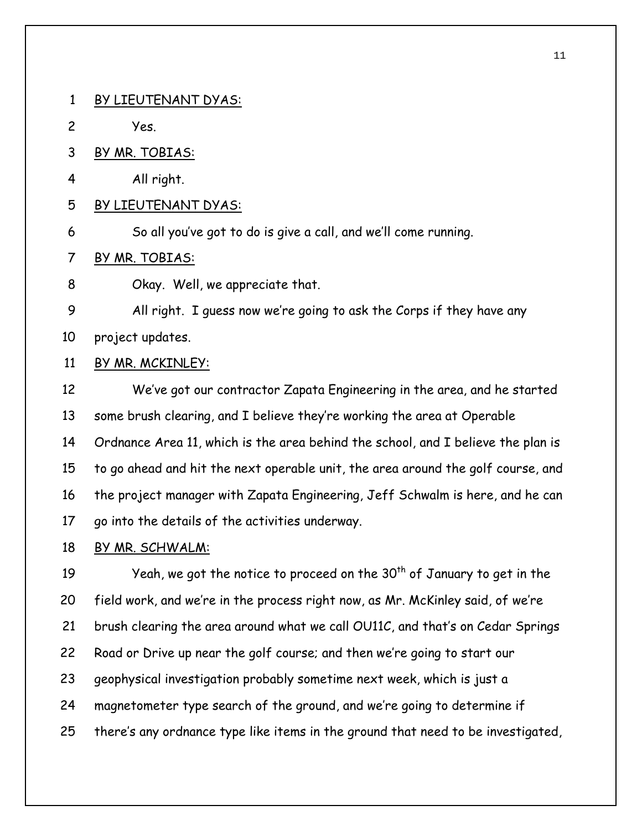1 BY LIEUTENANT DYAS:

- 2 Yes.
- 3 BY MR. TOBIAS:
- 4 All right.
- 5 BY LIEUTENANT DYAS:
- 6 So all you've got to do is give a call, and we'll come running.
- 7 BY MR. TOBIAS:
- 8 Okay. Well, we appreciate that.
- 9 10 All right. I guess now we're going to ask the Corps if they have any project updates.
- 11 BY MR. MCKINLEY:
- 12 13 14 15 16 17 We've got our contractor Zapata Engineering in the area, and he started some brush clearing, and I believe they're working the area at Operable Ordnance Area 11, which is the area behind the school, and I believe the plan is to go ahead and hit the next operable unit, the area around the golf course, and the project manager with Zapata Engineering, Jeff Schwalm is here, and he can go into the details of the activities underway.
- 18 BY MR. SCHWALM:

19 20 21 22 23 24 25 Yeah, we got the notice to proceed on the  $30<sup>th</sup>$  of January to get in the field work, and we're in the process right now, as Mr. McKinley said, of we're brush clearing the area around what we call OU11C, and that's on Cedar Springs Road or Drive up near the golf course; and then we're going to start our geophysical investigation probably sometime next week, which is just a magnetometer type search of the ground, and we're going to determine if there's any ordnance type like items in the ground that need to be investigated,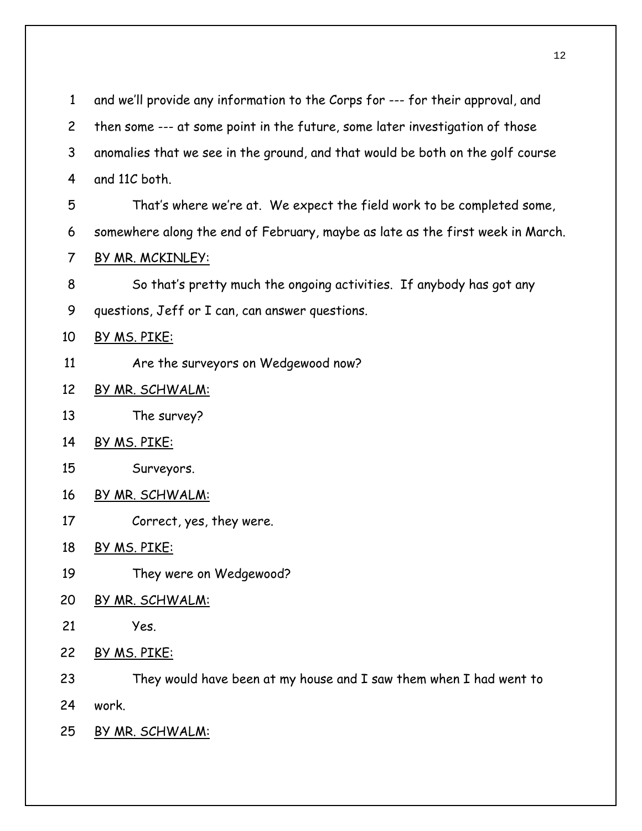| $\mathbf{1}$   | and we'll provide any information to the Corps for --- for their approval, and |
|----------------|--------------------------------------------------------------------------------|
| $\overline{c}$ | then some --- at some point in the future, some later investigation of those   |
| 3              | anomalies that we see in the ground, and that would be both on the golf course |
| 4              | and 11C both.                                                                  |
| 5              | That's where we're at. We expect the field work to be completed some,          |
| 6              | somewhere along the end of February, maybe as late as the first week in March. |
| 7              | BY MR. MCKINLEY:                                                               |
| 8              | So that's pretty much the ongoing activities. If anybody has got any           |
| 9              | questions, Jeff or I can, can answer questions.                                |
| 10             | BY MS. PIKE:                                                                   |
| 11             | Are the surveyors on Wedgewood now?                                            |
| 12             | BY MR. SCHWALM:                                                                |
| 13             | The survey?                                                                    |
| 14             | BY MS. PIKE:                                                                   |
| 15             | Surveyors.                                                                     |
| 16             | <u>BY MR. SCHWALM:</u>                                                         |
| 17             | Correct, yes, they were.                                                       |
| 18             | BY MS. PIKE:                                                                   |
| 19             | They were on Wedgewood?                                                        |
| 20             | <u>BY MR. SCHWALM:</u>                                                         |
| 21             | Yes.                                                                           |
| 22             | BY MS. PIKE:                                                                   |
| 23             | They would have been at my house and I saw them when I had went to             |
| 24             | work.                                                                          |
| 25             | <u>BY MR. SCHWALM:</u>                                                         |
|                |                                                                                |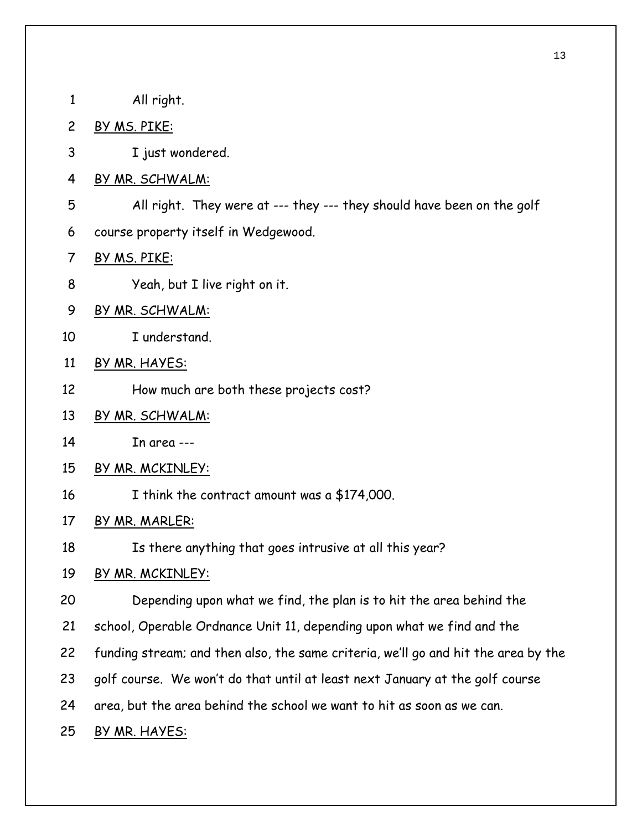| 1              | All right.                                                                         |
|----------------|------------------------------------------------------------------------------------|
| $\overline{c}$ | <u>BY MS. PIKE:</u>                                                                |
| 3              | I just wondered.                                                                   |
| $\overline{4}$ | BY MR. SCHWALM:                                                                    |
| 5              | All right. They were at --- they --- they should have been on the golf             |
| 6              | course property itself in Wedgewood.                                               |
| 7              | <u>BY MS. PIKE:</u>                                                                |
| 8              | Yeah, but I live right on it.                                                      |
| 9              | <u>BY MR. SCHWALM:</u>                                                             |
| 10             | I understand.                                                                      |
| 11             | BY MR. HAYES:                                                                      |
| 12             | How much are both these projects cost?                                             |
| 13             | BY MR. SCHWALM:                                                                    |
| 14             | In area ---                                                                        |
| 15             | BY MR. MCKINLEY:                                                                   |
| 16             | I think the contract amount was a \$174,000.                                       |
| 17             | BY MR. MARLER:                                                                     |
| 18             | Is there anything that goes intrusive at all this year?                            |
| 19             | BY MR. MCKINLEY:                                                                   |
| 20             | Depending upon what we find, the plan is to hit the area behind the                |
| 21             | school, Operable Ordnance Unit 11, depending upon what we find and the             |
| 22             | funding stream; and then also, the same criteria, we'll go and hit the area by the |
| 23             | golf course. We won't do that until at least next January at the golf course       |
| 24             | area, but the area behind the school we want to hit as soon as we can.             |
| 25             | BY MR. HAYES:                                                                      |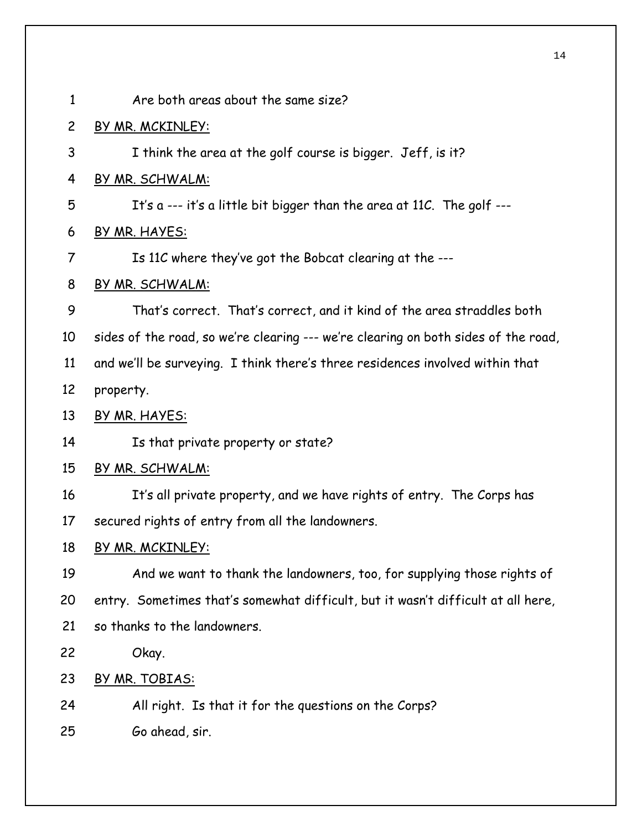| $\mathbf{1}$   | Are both areas about the same size?                                                |
|----------------|------------------------------------------------------------------------------------|
| $\overline{c}$ | BY MR. MCKINLEY:                                                                   |
| 3              | I think the area at the golf course is bigger. Jeff, is it?                        |
| 4              | BY MR. SCHWALM:                                                                    |
| 5              | It's $a$ --- it's a little bit bigger than the area at 11C. The golf ---           |
| 6              | BY MR. HAYES:                                                                      |
| 7              | Is 11C where they've got the Bobcat clearing at the ---                            |
| 8              | <u>BY MR. SCHWALM:</u>                                                             |
| 9              | That's correct. That's correct, and it kind of the area straddles both             |
| 10             | sides of the road, so we're clearing --- we're clearing on both sides of the road, |
| 11             | and we'll be surveying. I think there's three residences involved within that      |
| 12             | property.                                                                          |
| 13             | BY MR. HAYES:                                                                      |
| 14             | Is that private property or state?                                                 |
| 15             | <u>BY MR. SCHWALM:</u>                                                             |
| 16             | It's all private property, and we have rights of entry. The Corps has              |
| 17             | secured rights of entry from all the landowners.                                   |
| 18             | BY MR. MCKINLEY:                                                                   |
| 19             | And we want to thank the landowners, too, for supplying those rights of            |
| 20             | entry. Sometimes that's somewhat difficult, but it wasn't difficult at all here,   |
| 21             | so thanks to the landowners.                                                       |
| 22             | Okay.                                                                              |
| 23             | BY MR. TOBIAS:                                                                     |
| 24             | All right. Is that it for the questions on the Corps?                              |
| 25             | Go ahead, sir.                                                                     |
|                |                                                                                    |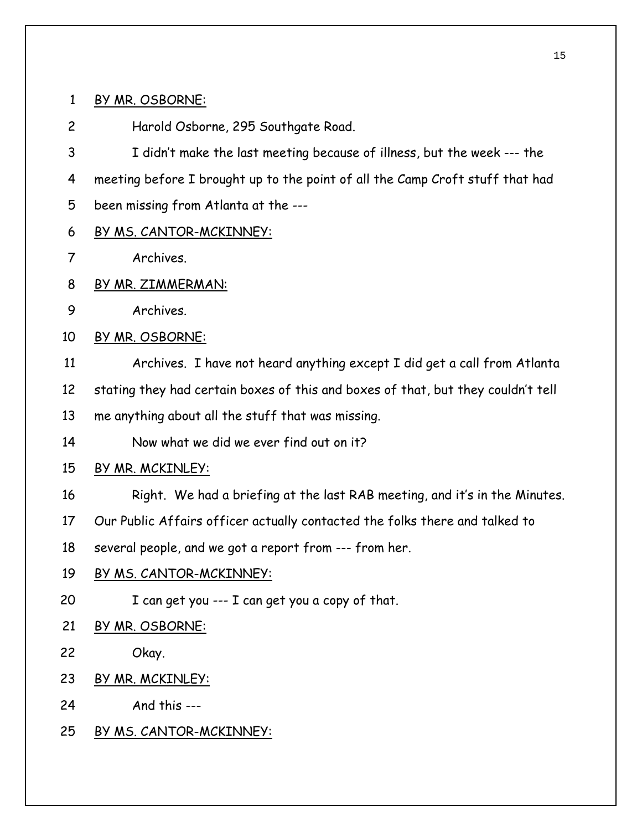### 1 BY MR. OSBORNE:

2 Harold Osborne, 295 Southgate Road.

3 4 I didn't make the last meeting because of illness, but the week --- the meeting before I brought up to the point of all the Camp Croft stuff that had

- 5 been missing from Atlanta at the ---
- 6 BY MS. CANTOR-MCKINNEY:
- 7 Archives.
- 8 BY MR. ZIMMERMAN:
- 9 Archives.
- 10 BY MR. OSBORNE:
- 11 Archives. I have not heard anything except I did get a call from Atlanta
- 12 stating they had certain boxes of this and boxes of that, but they couldn't tell
- 13 me anything about all the stuff that was missing.
- 14 Now what we did we ever find out on it?
- 15 BY MR. MCKINLEY:
- 16 Right. We had a briefing at the last RAB meeting, and it's in the Minutes.
- 17 Our Public Affairs officer actually contacted the folks there and talked to
- 18 several people, and we got a report from --- from her.
- 19 BY MS. CANTOR-MCKINNEY:
- 20 I can get you --- I can get you a copy of that.
- 21 BY MR. OSBORNE:
- 22 Okay.
- 23 BY MR. MCKINLEY:
- 24 And this ---
- 25 BY MS. CANTOR-MCKINNEY: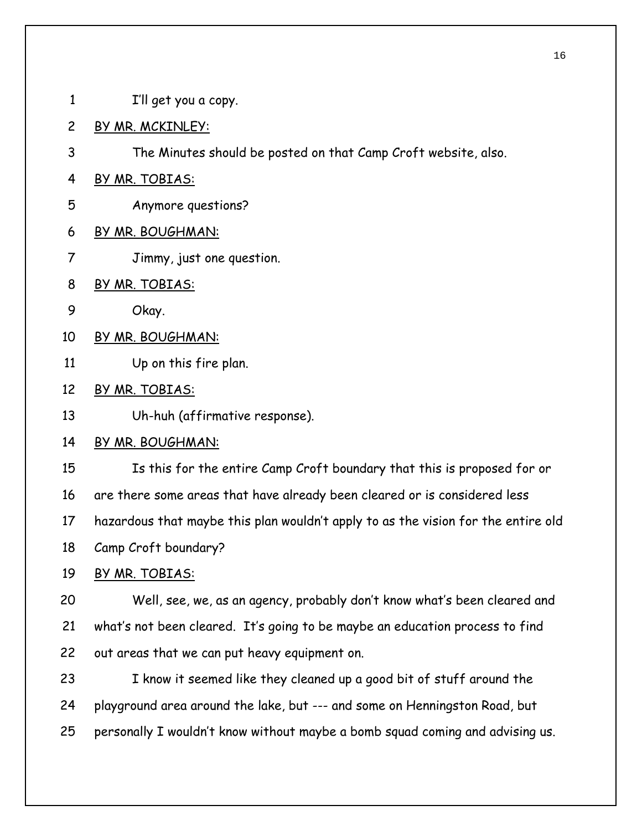- 1 I'll get you a copy.
- 2 BY MR. MCKINLEY:
- 3 The Minutes should be posted on that Camp Croft website, also.
- 4 BY MR. TOBIAS:
- 5 Anymore questions?
- 6 BY MR. BOUGHMAN:
- 7 Jimmy, just one question.
- 8 BY MR. TOBIAS:
- 9 Okay.
- 10 BY MR. BOUGHMAN:
- 11 Up on this fire plan.
- 12 BY MR. TOBIAS:
- 13 Uh-huh (affirmative response).
- 14 BY MR. BOUGHMAN:

15 16 17 18 Is this for the entire Camp Croft boundary that this is proposed for or are there some areas that have already been cleared or is considered less hazardous that maybe this plan wouldn't apply to as the vision for the entire old Camp Croft boundary?

- 
- 19 BY MR. TOBIAS:

20 21 22 Well, see, we, as an agency, probably don't know what's been cleared and what's not been cleared. It's going to be maybe an education process to find out areas that we can put heavy equipment on.

23 24 25 I know it seemed like they cleaned up a good bit of stuff around the playground area around the lake, but --- and some on Henningston Road, but personally I wouldn't know without maybe a bomb squad coming and advising us.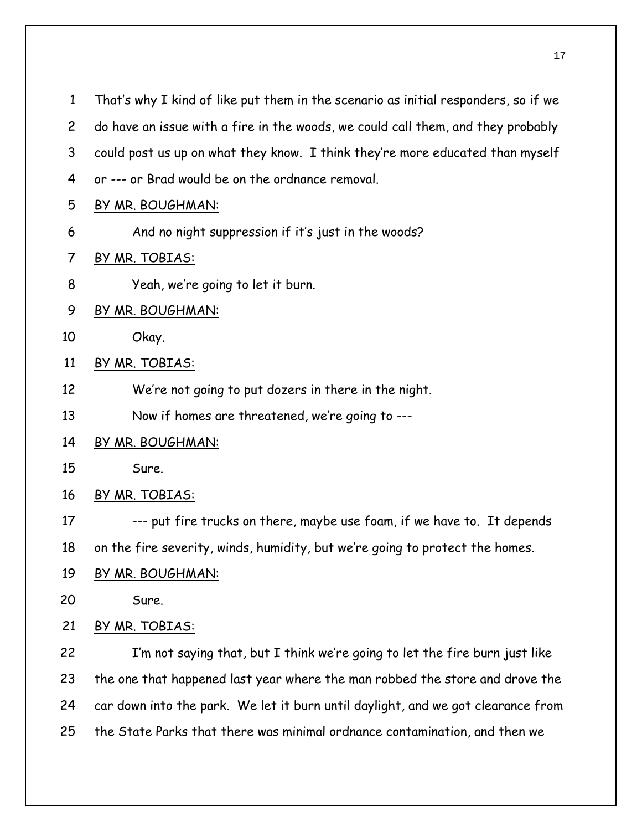That's why I kind of like put them in the scenario as initial responders, so if we do have an issue with a fire in the woods, we could call them, and they probably could post us up on what they know. I think they're more educated than myself or --- or Brad would be on the ordnance removal. 1 2 3 4 5 BY MR. BOUGHMAN: 6 And no night suppression if it's just in the woods? 7 BY MR. TOBIAS: 8 Yeah, we're going to let it burn. 9 BY MR. BOUGHMAN: 10 Okay. 11 BY MR. TOBIAS: 12 13 We're not going to put dozers in there in the night. Now if homes are threatened, we're going to --- 14 BY MR. BOUGHMAN: 15 Sure. 16 BY MR. TOBIAS: 17 18 --- put fire trucks on there, maybe use foam, if we have to. It depends on the fire severity, winds, humidity, but we're going to protect the homes. 19 BY MR. BOUGHMAN: 20 Sure. 21 BY MR. TOBIAS: 22 23 24 I'm not saying that, but I think we're going to let the fire burn just like the one that happened last year where the man robbed the store and drove the car down into the park. We let it burn until daylight, and we got clearance from

25 the State Parks that there was minimal ordnance contamination, and then we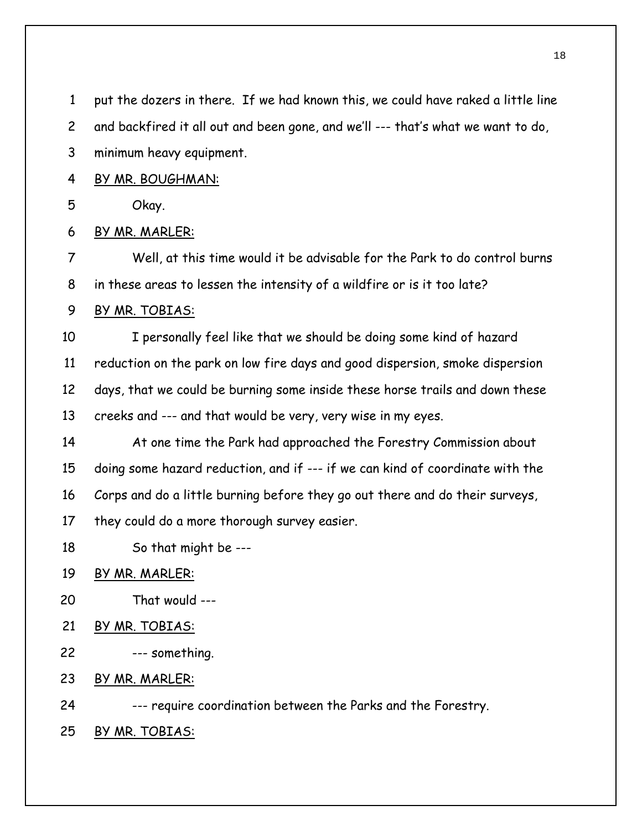put the dozers in there. If we had known this, we could have raked a little line 1

and backfired it all out and been gone, and we'll --- that's what we want to do, 2

- minimum heavy equipment. 3
- 4 BY MR. BOUGHMAN:
- 5 Okay.
- 6 BY MR. MARLER:

7 8 Well, at this time would it be advisable for the Park to do control burns in these areas to lessen the intensity of a wildfire or is it too late?

9 BY MR. TOBIAS:

10 11 12 13 I personally feel like that we should be doing some kind of hazard reduction on the park on low fire days and good dispersion, smoke dispersion days, that we could be burning some inside these horse trails and down these creeks and --- and that would be very, very wise in my eyes.

14 15 16 17 At one time the Park had approached the Forestry Commission about doing some hazard reduction, and if --- if we can kind of coordinate with the Corps and do a little burning before they go out there and do their surveys, they could do a more thorough survey easier.

- 18 So that might be ---
- 19 BY MR. MARLER:
- 20 That would ---
- 21 BY MR. TOBIAS:
- 22 --- something.
- 23 BY MR. MARLER:

24 --- require coordination between the Parks and the Forestry.

25 BY MR. TOBIAS: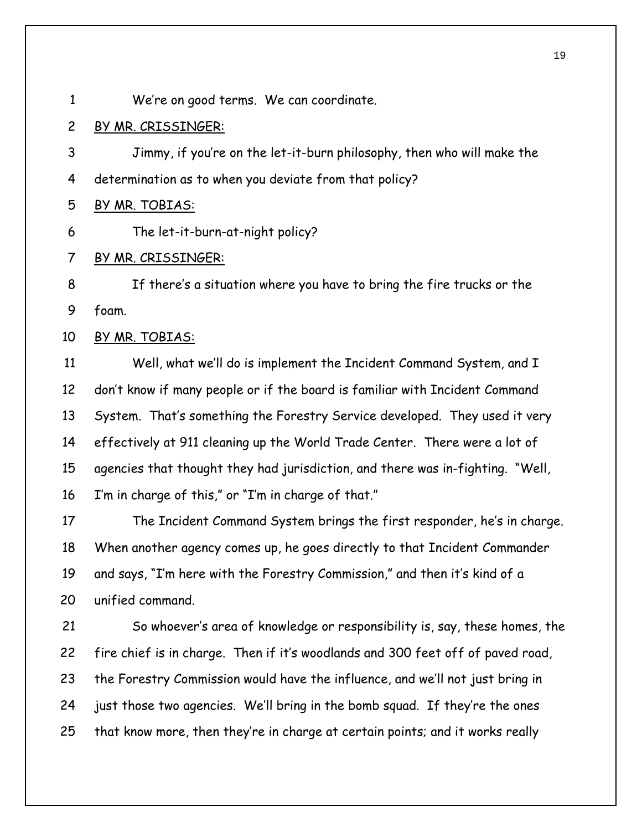1 We're on good terms. We can coordinate.

2 BY MR. CRISSINGER:

3 4 Jimmy, if you're on the let-it-burn philosophy, then who will make the determination as to when you deviate from that policy?

5 BY MR. TOBIAS:

6 The let-it-burn-at-night policy?

7 BY MR. CRISSINGER:

8 9 If there's a situation where you have to bring the fire trucks or the foam.

10 BY MR. TOBIAS:

11 12 13 14 15 16 Well, what we'll do is implement the Incident Command System, and I don't know if many people or if the board is familiar with Incident Command System. That's something the Forestry Service developed. They used it very effectively at 911 cleaning up the World Trade Center. There were a lot of agencies that thought they had jurisdiction, and there was in-fighting. "Well, I'm in charge of this," or "I'm in charge of that."

17 18 19 20 The Incident Command System brings the first responder, he's in charge. When another agency comes up, he goes directly to that Incident Commander and says, "I'm here with the Forestry Commission," and then it's kind of a unified command.

21 22 23 24 25 So whoever's area of knowledge or responsibility is, say, these homes, the fire chief is in charge. Then if it's woodlands and 300 feet off of paved road, the Forestry Commission would have the influence, and we'll not just bring in just those two agencies. We'll bring in the bomb squad. If they're the ones that know more, then they're in charge at certain points; and it works really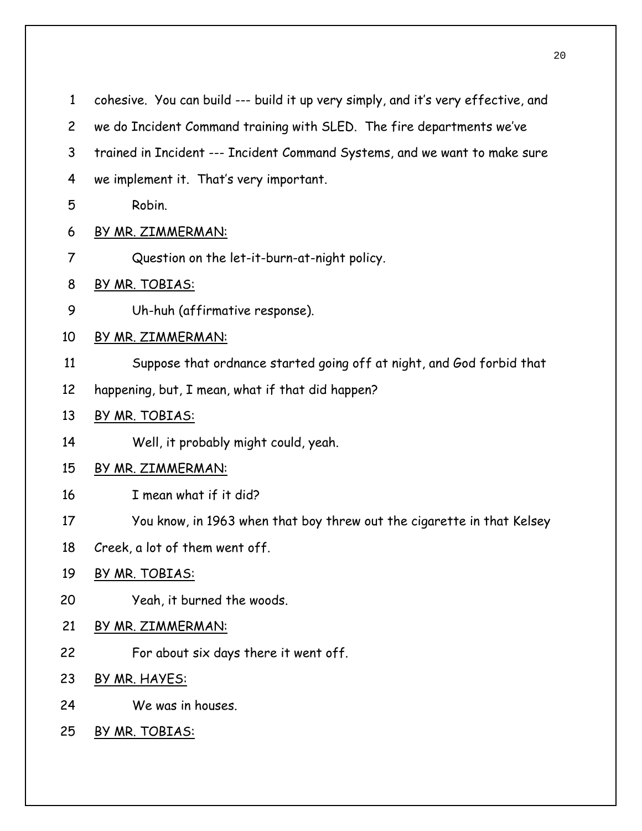| $\mathbf{1}$   | cohesive. You can build --- build it up very simply, and it's very effective, and |
|----------------|-----------------------------------------------------------------------------------|
| $\overline{c}$ | we do Incident Command training with SLED. The fire departments we've             |
| 3              | trained in Incident --- Incident Command Systems, and we want to make sure        |
| 4              | we implement it. That's very important.                                           |
| 5              | Robin.                                                                            |
| 6              | BY MR. ZIMMERMAN:                                                                 |
| 7              | Question on the let-it-burn-at-night policy.                                      |
| 8              | BY MR. TOBIAS:                                                                    |
| 9              | Uh-huh (affirmative response).                                                    |
| 10             | BY MR. ZIMMERMAN:                                                                 |
| 11             | Suppose that ordnance started going off at night, and God forbid that             |
| 12             | happening, but, I mean, what if that did happen?                                  |
| 13             | BY MR. TOBIAS:                                                                    |
| 14             | Well, it probably might could, yeah.                                              |
| 15             | BY MR. ZIMMERMAN:                                                                 |
| 16             | I mean what if it did?                                                            |
| 17             | You know, in 1963 when that boy threw out the cigarette in that Kelsey            |
| 18             | Creek, a lot of them went off.                                                    |
| 19             | BY MR. TOBIAS:                                                                    |
| 20             | Yeah, it burned the woods.                                                        |
| 21             | BY MR. ZIMMERMAN:                                                                 |
| 22             | For about six days there it went off.                                             |
| 23             | BY MR. HAYES:                                                                     |
| 24             | We was in houses.                                                                 |
| 25             | BY MR. TOBIAS:                                                                    |
|                |                                                                                   |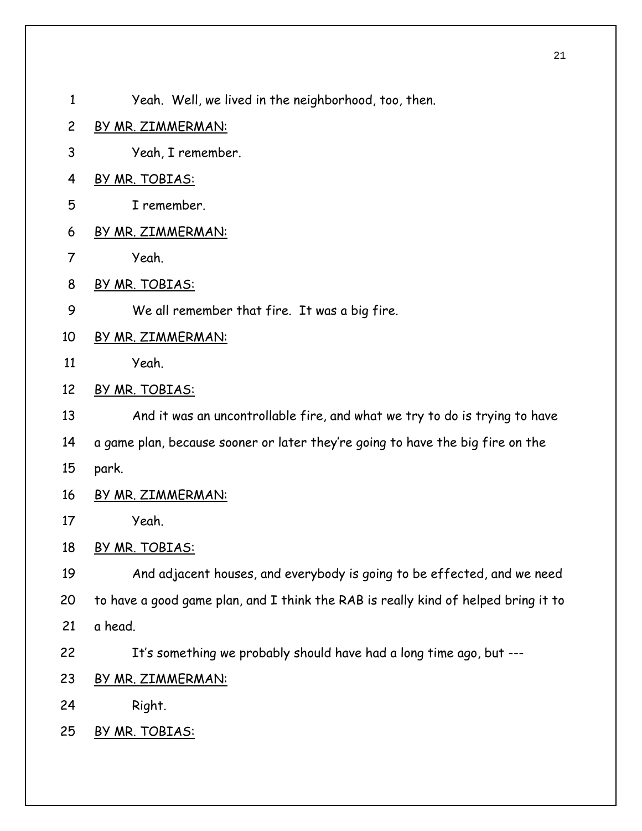- 1 Yeah. Well, we lived in the neighborhood, too, then.
- 2 BY MR. ZIMMERMAN:
- 3 Yeah, I remember.
- 4 BY MR. TOBIAS:
- 5 I remember.
- 6 BY MR. ZIMMERMAN:
- 7 Yeah.
- 8 BY MR. TOBIAS:
- 9 We all remember that fire. It was a big fire.
- 10 BY MR. ZIMMERMAN:
- 11 Yeah.
- 12 BY MR. TOBIAS:

13 And it was an uncontrollable fire, and what we try to do is trying to have

- 14 a game plan, because sooner or later they're going to have the big fire on the
- 15 park.
- 16 BY MR. ZIMMERMAN:
- 17 Yeah.

18 BY MR. TOBIAS:

19 20 21 And adjacent houses, and everybody is going to be effected, and we need to have a good game plan, and I think the RAB is really kind of helped bring it to a head.

It's something we probably should have had a long time ago, but ---

- 23 BY MR. ZIMMERMAN:
- 24 Right.

22

25 BY MR. TOBIAS: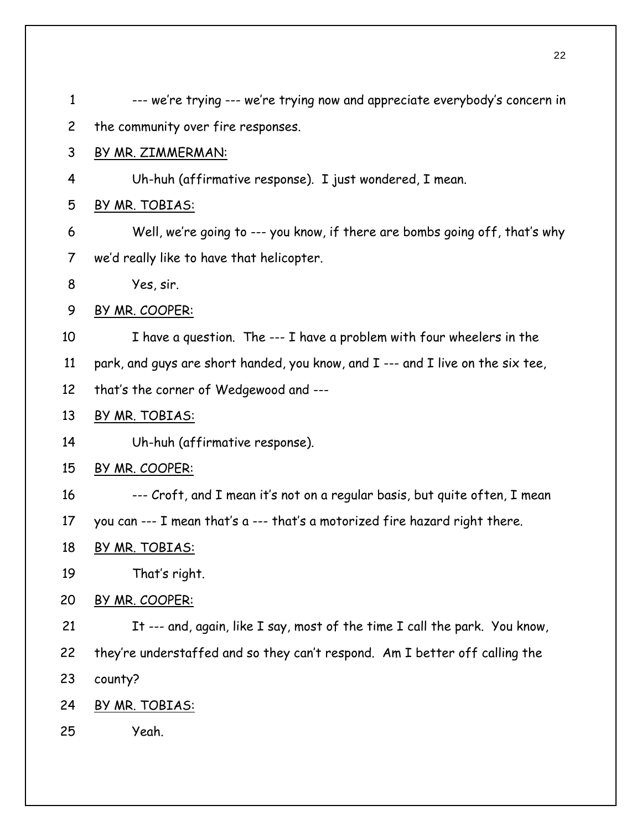| $\mathbf{1}$   | --- we're trying --- we're trying now and appreciate everybody's concern in     |
|----------------|---------------------------------------------------------------------------------|
| $\overline{c}$ | the community over fire responses.                                              |
| 3              | BY MR. ZIMMERMAN:                                                               |
| 4              | Uh-huh (affirmative response). I just wondered, I mean.                         |
| 5              | <u>BY MR. TOBIAS:</u>                                                           |
| 6              | Well, we're going to --- you know, if there are bombs going off, that's why     |
| 7              | we'd really like to have that helicopter.                                       |
| 8              | Yes, sir.                                                                       |
| 9              | BY MR. COOPER:                                                                  |
| 10             | I have a question. The --- I have a problem with four wheelers in the           |
| 11             | park, and guys are short handed, you know, and I --- and I live on the six tee, |
| 12             | that's the corner of Wedgewood and ---                                          |
| 13             | BY MR. TOBIAS:                                                                  |
| 14             | Uh-huh (affirmative response).                                                  |
| 15             | BY MR. COOPER:                                                                  |
| 16             | --- Croft, and I mean it's not on a regular basis, but quite often, I mean      |
| 17             | you can --- I mean that's a --- that's a motorized fire hazard right there.     |
| 18             | BY MR. TOBIAS:                                                                  |
| 19             | That's right.                                                                   |
| 20             | BY MR. COOPER:                                                                  |
| 21             | It --- and, again, like I say, most of the time I call the park. You know,      |
| 22             | they're understaffed and so they can't respond. Am I better off calling the     |
| 23             | county?                                                                         |
| 24             | BY MR. TOBIAS:                                                                  |
| 25             | Yeah.                                                                           |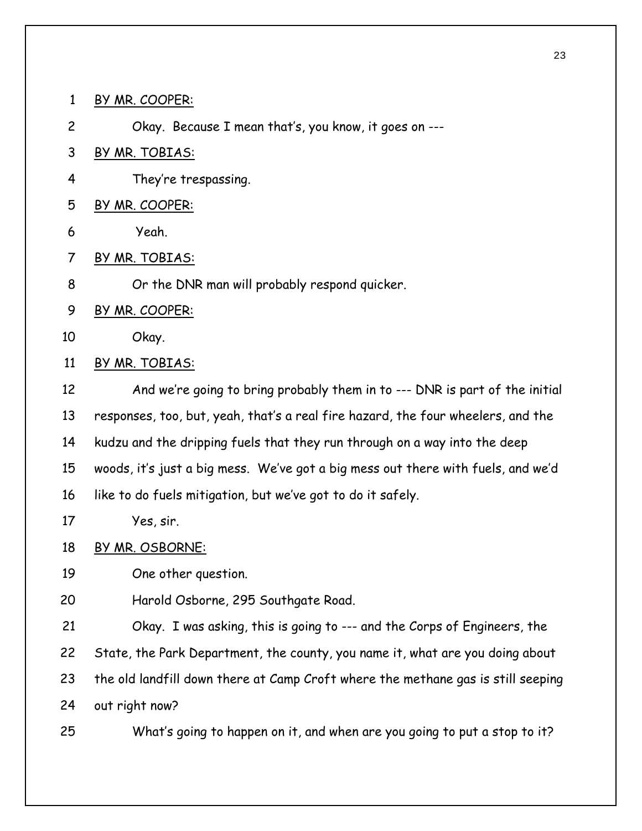1 BY MR. COOPER:

2 Okay. Because I mean that's, you know, it goes on ---

3 BY MR. TOBIAS:

4 They're trespassing.

- 5 BY MR. COOPER:
- 6 Yeah.
- 7 BY MR. TOBIAS:
- 8 Or the DNR man will probably respond quicker.
- 9 BY MR. COOPER:
- 10 Okay.
- 11 BY MR. TOBIAS:

12 13 14 15 16 And we're going to bring probably them in to --- DNR is part of the initial responses, too, but, yeah, that's a real fire hazard, the four wheelers, and the kudzu and the dripping fuels that they run through on a way into the deep woods, it's just a big mess. We've got a big mess out there with fuels, and we'd like to do fuels mitigation, but we've got to do it safely.

17 Yes, sir.

18 BY MR. OSBORNE:

19 One other question.

20 Harold Osborne, 295 Southgate Road.

21 22 23 24 Okay. I was asking, this is going to --- and the Corps of Engineers, the State, the Park Department, the county, you name it, what are you doing about the old landfill down there at Camp Croft where the methane gas is still seeping out right now?

25 What's going to happen on it, and when are you going to put a stop to it?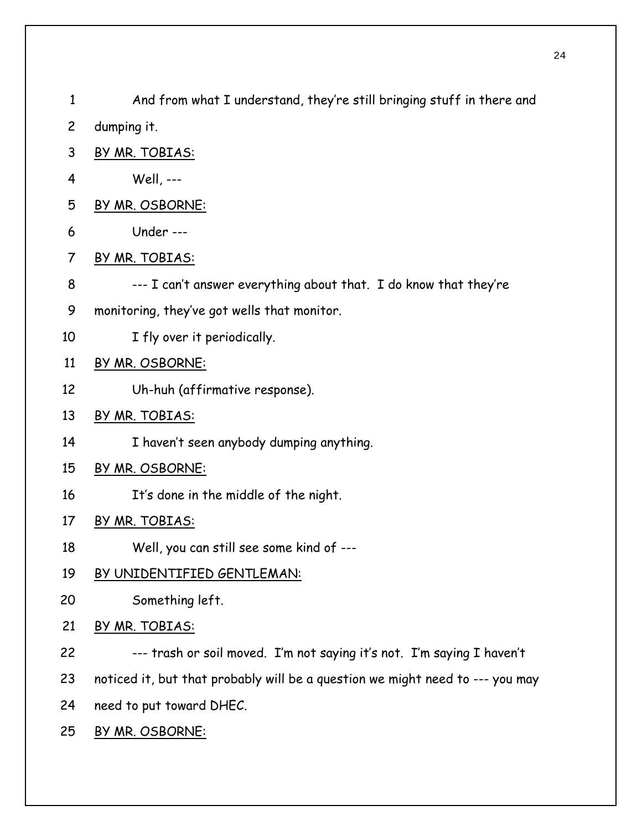And from what I understand, they're still bringing stuff in there and dumping it. 1 2 3 BY MR. TOBIAS: 4 Well, --- 5 BY MR. OSBORNE: 6 Under --- 7 BY MR. TOBIAS: 8 9 10 --- I can't answer everything about that. I do know that they're monitoring, they've got wells that monitor. I fly over it periodically. 11 BY MR. OSBORNE: 12 Uh-huh (affirmative response). 13 BY MR. TOBIAS: 14 I haven't seen anybody dumping anything. 15 BY MR. OSBORNE: 16 It's done in the middle of the night. 17 BY MR. TOBIAS: 18 Well, you can still see some kind of --- 19 BY UNIDENTIFIED GENTLEMAN: 20 Something left. 21 BY MR. TOBIAS: 22 23 24 --- trash or soil moved. I'm not saying it's not. I'm saying I haven't noticed it, but that probably will be a question we might need to --- you may need to put toward DHEC. 25 BY MR. OSBORNE: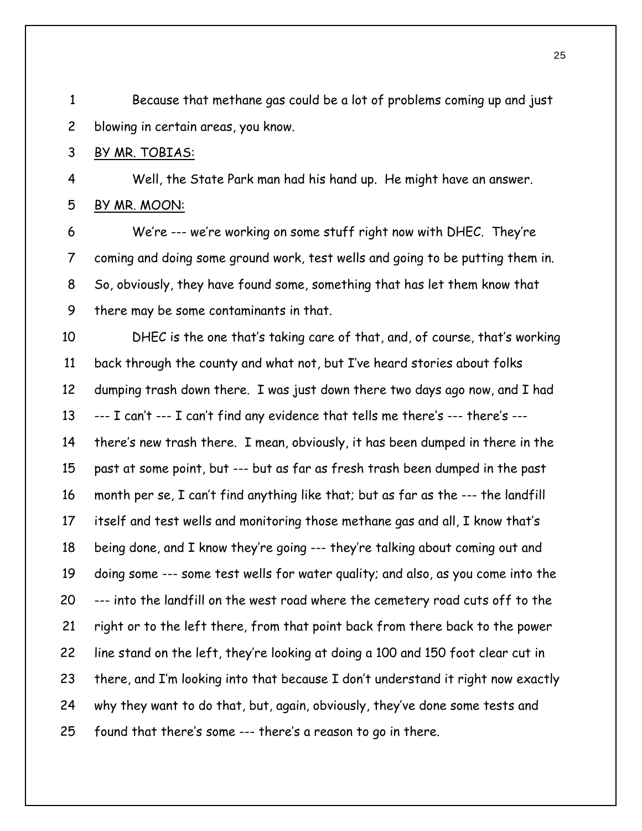Because that methane gas could be a lot of problems coming up and just blowing in certain areas, you know. 1 2

#### 3 BY MR. TOBIAS:

4 Well, the State Park man had his hand up. He might have an answer. 5 BY MR. MOON:

6 7 8 9 We're --- we're working on some stuff right now with DHEC. They're coming and doing some ground work, test wells and going to be putting them in. So, obviously, they have found some, something that has let them know that there may be some contaminants in that.

10 11 12 13 14 15 16 17 18 19 20 21 22 23 24 25 DHEC is the one that's taking care of that, and, of course, that's working back through the county and what not, but I've heard stories about folks dumping trash down there. I was just down there two days ago now, and I had --- I can't --- I can't find any evidence that tells me there's --- there's -- there's new trash there. I mean, obviously, it has been dumped in there in the past at some point, but --- but as far as fresh trash been dumped in the past month per se, I can't find anything like that; but as far as the --- the landfill itself and test wells and monitoring those methane gas and all, I know that's being done, and I know they're going --- they're talking about coming out and doing some --- some test wells for water quality; and also, as you come into the --- into the landfill on the west road where the cemetery road cuts off to the right or to the left there, from that point back from there back to the power line stand on the left, they're looking at doing a 100 and 150 foot clear cut in there, and I'm looking into that because I don't understand it right now exactly why they want to do that, but, again, obviously, they've done some tests and found that there's some --- there's a reason to go in there.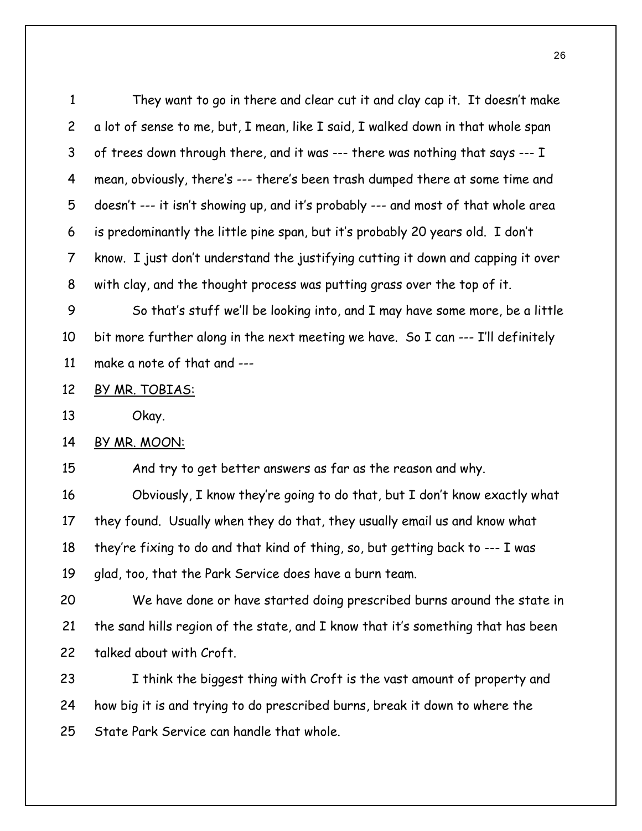They want to go in there and clear cut it and clay cap it. It doesn't make a lot of sense to me, but, I mean, like I said, I walked down in that whole span of trees down through there, and it was --- there was nothing that says --- I mean, obviously, there's --- there's been trash dumped there at some time and doesn't --- it isn't showing up, and it's probably --- and most of that whole area is predominantly the little pine span, but it's probably 20 years old. I don't know. I just don't understand the justifying cutting it down and capping it over with clay, and the thought process was putting grass over the top of it. 1 2 3 4 5 6 7 8

9 10 11 So that's stuff we'll be looking into, and I may have some more, be a little bit more further along in the next meeting we have. So I can --- I'll definitely make a note of that and ---

#### 12 BY MR. TOBIAS:

13 Okay.

14 BY MR. MOON:

15 And try to get better answers as far as the reason and why.

16 17 18 19 Obviously, I know they're going to do that, but I don't know exactly what they found. Usually when they do that, they usually email us and know what they're fixing to do and that kind of thing, so, but getting back to --- I was glad, too, that the Park Service does have a burn team.

20 21 22 We have done or have started doing prescribed burns around the state in the sand hills region of the state, and I know that it's something that has been talked about with Croft.

23 24 25 I think the biggest thing with Croft is the vast amount of property and how big it is and trying to do prescribed burns, break it down to where the State Park Service can handle that whole.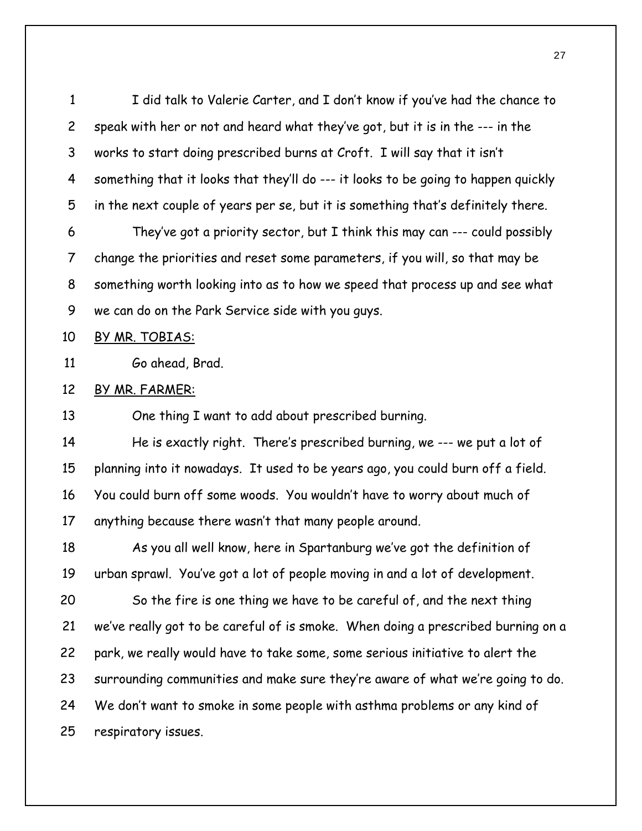I did talk to Valerie Carter, and I don't know if you've had the chance to speak with her or not and heard what they've got, but it is in the --- in the works to start doing prescribed burns at Croft. I will say that it isn't something that it looks that they'll do --- it looks to be going to happen quickly in the next couple of years per se, but it is something that's definitely there. 1 2 3 4 5

6 7 8 9 They've got a priority sector, but I think this may can --- could possibly change the priorities and reset some parameters, if you will, so that may be something worth looking into as to how we speed that process up and see what we can do on the Park Service side with you guys.

10 BY MR. TOBIAS:

11 Go ahead, Brad.

12 BY MR. FARMER:

13 One thing I want to add about prescribed burning.

14 15 16 17 He is exactly right. There's prescribed burning, we --- we put a lot of planning into it nowadays. It used to be years ago, you could burn off a field. You could burn off some woods. You wouldn't have to worry about much of anything because there wasn't that many people around.

18 19 As you all well know, here in Spartanburg we've got the definition of urban sprawl. You've got a lot of people moving in and a lot of development.

20 21 22 23 24 25 So the fire is one thing we have to be careful of, and the next thing we've really got to be careful of is smoke. When doing a prescribed burning on a park, we really would have to take some, some serious initiative to alert the surrounding communities and make sure they're aware of what we're going to do. We don't want to smoke in some people with asthma problems or any kind of respiratory issues.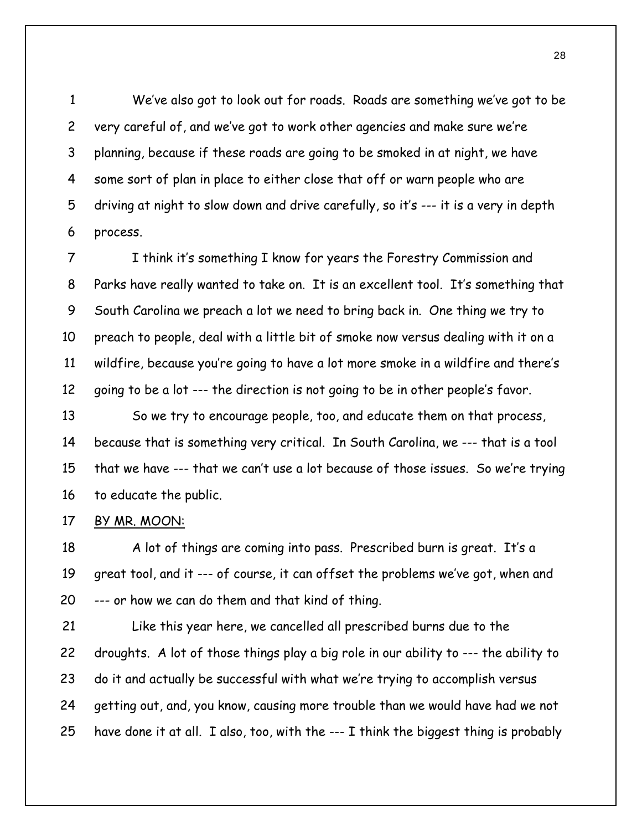We've also got to look out for roads. Roads are something we've got to be very careful of, and we've got to work other agencies and make sure we're planning, because if these roads are going to be smoked in at night, we have some sort of plan in place to either close that off or warn people who are driving at night to slow down and drive carefully, so it's --- it is a very in depth process. 1 2 3 4 5 6

7 8 9 10 11 12 I think it's something I know for years the Forestry Commission and Parks have really wanted to take on. It is an excellent tool. It's something that South Carolina we preach a lot we need to bring back in. One thing we try to preach to people, deal with a little bit of smoke now versus dealing with it on a wildfire, because you're going to have a lot more smoke in a wildfire and there's going to be a lot --- the direction is not going to be in other people's favor.

13 14 15 16 So we try to encourage people, too, and educate them on that process, because that is something very critical. In South Carolina, we --- that is a tool that we have --- that we can't use a lot because of those issues. So we're trying to educate the public.

17 BY MR. MOON:

18 19 20 A lot of things are coming into pass. Prescribed burn is great. It's a great tool, and it --- of course, it can offset the problems we've got, when and --- or how we can do them and that kind of thing.

21 22 23 24 25 Like this year here, we cancelled all prescribed burns due to the droughts. A lot of those things play a big role in our ability to --- the ability to do it and actually be successful with what we're trying to accomplish versus getting out, and, you know, causing more trouble than we would have had we not have done it at all. I also, too, with the --- I think the biggest thing is probably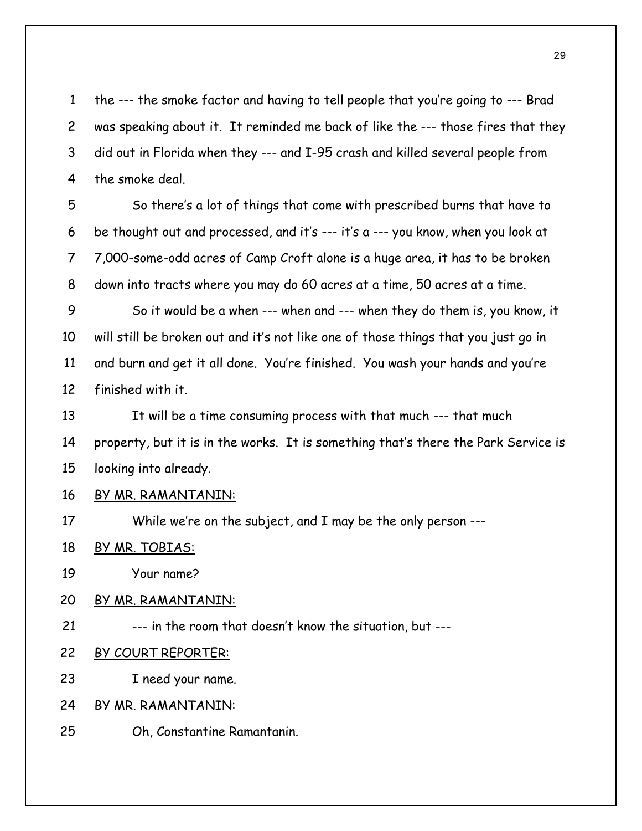the --- the smoke factor and having to tell people that you're going to --- Brad was speaking about it. It reminded me back of like the --- those fires that they did out in Florida when they --- and I-95 crash and killed several people from the smoke deal. 1 2 3 4

5 6 7 8 So there's a lot of things that come with prescribed burns that have to be thought out and processed, and it's --- it's a --- you know, when you look at 7,000-some-odd acres of Camp Croft alone is a huge area, it has to be broken down into tracts where you may do 60 acres at a time, 50 acres at a time.

9 10 11 12 So it would be a when --- when and --- when they do them is, you know, it will still be broken out and it's not like one of those things that you just go in and burn and get it all done. You're finished. You wash your hands and you're finished with it.

13 14 15 It will be a time consuming process with that much --- that much property, but it is in the works. It is something that's there the Park Service is looking into already.

- 16 BY MR. RAMANTANIN:
- 17 While we're on the subject, and I may be the only person ---
- 18 BY MR. TOBIAS:
- 19 Your name?
- 20 BY MR. RAMANTANIN:
- 21 --- in the room that doesn't know the situation, but ---
- 22 BY COURT REPORTER:
- 23 I need your name.
- 24 BY MR. RAMANTANIN:
- 25 Oh, Constantine Ramantanin.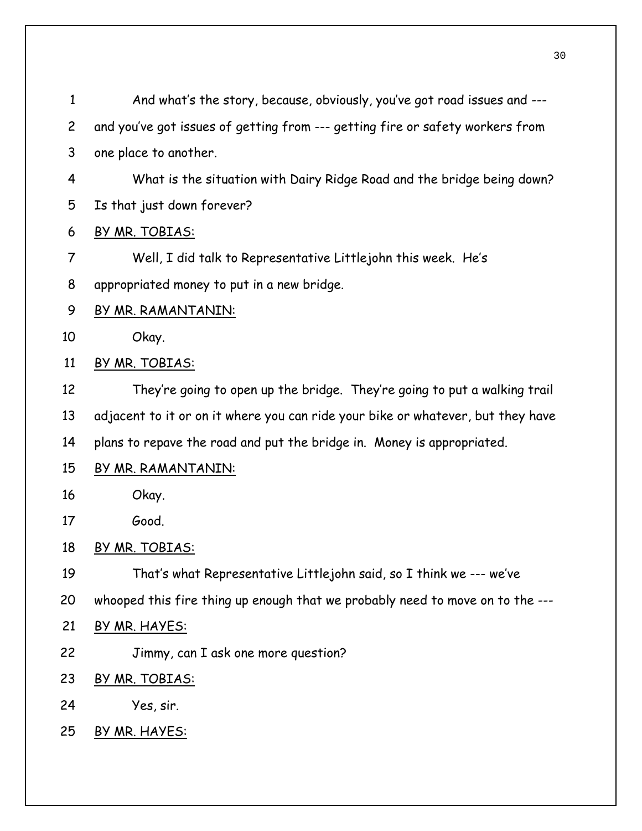| $\mathbf{1}$   | And what's the story, because, obviously, you've got road issues and ---        |
|----------------|---------------------------------------------------------------------------------|
| $\overline{c}$ | and you've got issues of getting from --- getting fire or safety workers from   |
| 3              | one place to another.                                                           |
| 4              | What is the situation with Dairy Ridge Road and the bridge being down?          |
| 5              | Is that just down forever?                                                      |
| 6              | BY MR. TOBIAS:                                                                  |
| $\overline{7}$ | Well, I did talk to Representative Littlejohn this week. He's                   |
| 8              | appropriated money to put in a new bridge.                                      |
| 9              | BY MR. RAMANTANIN:                                                              |
| 10             | Okay.                                                                           |
| 11             | BY MR. TOBIAS:                                                                  |
| 12             | They're going to open up the bridge. They're going to put a walking trail       |
| 13             | adjacent to it or on it where you can ride your bike or whatever, but they have |
| 14             | plans to repave the road and put the bridge in. Money is appropriated.          |
| 15             | <u>BY MR. RAMANTANIN:</u>                                                       |
| 16             | Okay.                                                                           |
| 17             | Good.                                                                           |
| 18             | BY MR. TOBIAS:                                                                  |
| 19             | That's what Representative Littlejohn said, so I think we --- we've             |
| 20             | whooped this fire thing up enough that we probably need to move on to the ---   |
| 21             | BY MR. HAYES:                                                                   |
| 22             | Jimmy, can I ask one more question?                                             |
| 23             | <u>BY MR. TOBIAS:</u>                                                           |
| 24             | Yes, sir.                                                                       |
| 25             | BY MR. HAYES:                                                                   |
|                |                                                                                 |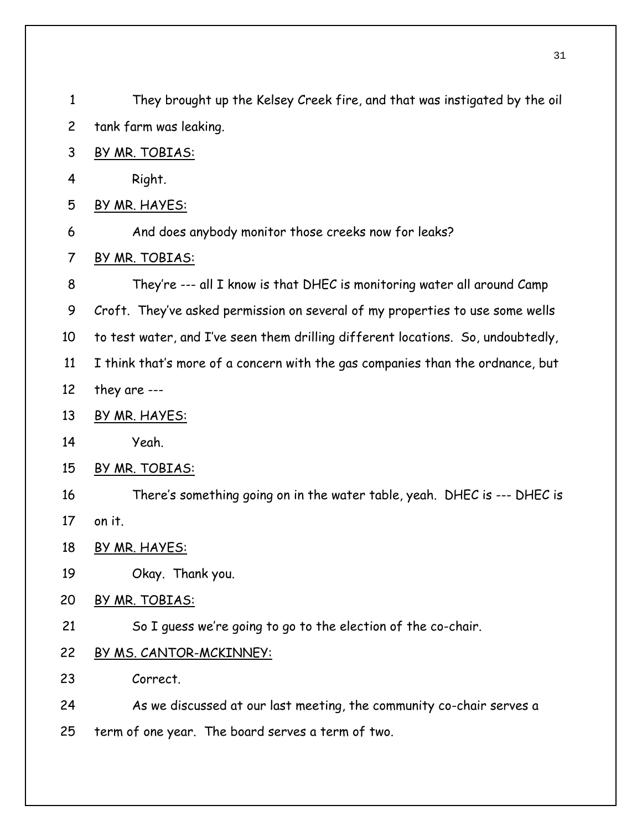| $\mathbf{1}$   | They brought up the Kelsey Creek fire, and that was instigated by the oil        |
|----------------|----------------------------------------------------------------------------------|
| $\overline{c}$ | tank farm was leaking.                                                           |
| 3              | BY MR. TOBIAS:                                                                   |
| 4              | Right.                                                                           |
| 5              | BY MR. HAYES:                                                                    |
| 6              | And does anybody monitor those creeks now for leaks?                             |
| $\overline{7}$ | BY MR. TOBIAS:                                                                   |
| 8              | They're --- all I know is that DHEC is monitoring water all around Camp          |
| 9              | Croft. They've asked permission on several of my properties to use some wells    |
| 10             | to test water, and I've seen them drilling different locations. So, undoubtedly, |
| 11             | I think that's more of a concern with the gas companies than the ordnance, but   |
| 12             | they are $--$                                                                    |
| 13             | BY MR. HAYES:                                                                    |
| 14             | Yeah.                                                                            |
| 15             | BY MR. TOBIAS:                                                                   |
| 16             | There's something going on in the water table, yeah. DHEC is --- DHEC is         |
| 17             | on it.                                                                           |
| 18             | BY MR. HAYES:                                                                    |
| 19             | Okay. Thank you.                                                                 |
| 20             | BY MR. TOBIAS:                                                                   |
| 21             | So I guess we're going to go to the election of the co-chair.                    |
| 22             | BY MS. CANTOR-MCKINNEY:                                                          |
| 23             | Correct.                                                                         |
| 24             | As we discussed at our last meeting, the community co-chair serves a             |
| 25             | term of one year. The board serves a term of two.                                |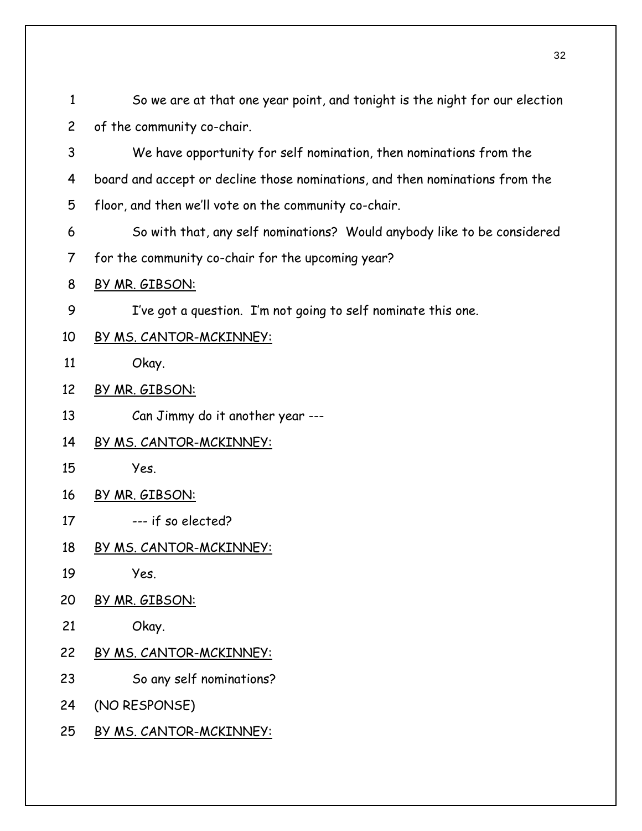So we are at that one year point, and tonight is the night for our election of the community co-chair. 1 2

3 4 5 We have opportunity for self nomination, then nominations from the board and accept or decline those nominations, and then nominations from the floor, and then we'll vote on the community co-chair.

- 6 So with that, any self nominations? Would anybody like to be considered
- 7 for the community co-chair for the upcoming year?
- 8 BY MR. GIBSON:

9 I've got a question. I'm not going to self nominate this one.

- 10 BY MS. CANTOR-MCKINNEY:
- 11 Okay.
- 12 BY MR. GIBSON:
- 13 Can Jimmy do it another year ---
- 14 BY MS. CANTOR-MCKINNEY:
- 15 Yes.
- 16 BY MR. GIBSON:
- 17 --- if so elected?
- 18 BY MS. CANTOR-MCKINNEY:
- 19 Yes.
- 20 BY MR. GIBSON:
- 21 Okay.
- 22 BY MS. CANTOR-MCKINNEY:
- 23 So any self nominations?
- 24 (NO RESPONSE)
- 25 BY MS. CANTOR-MCKINNEY: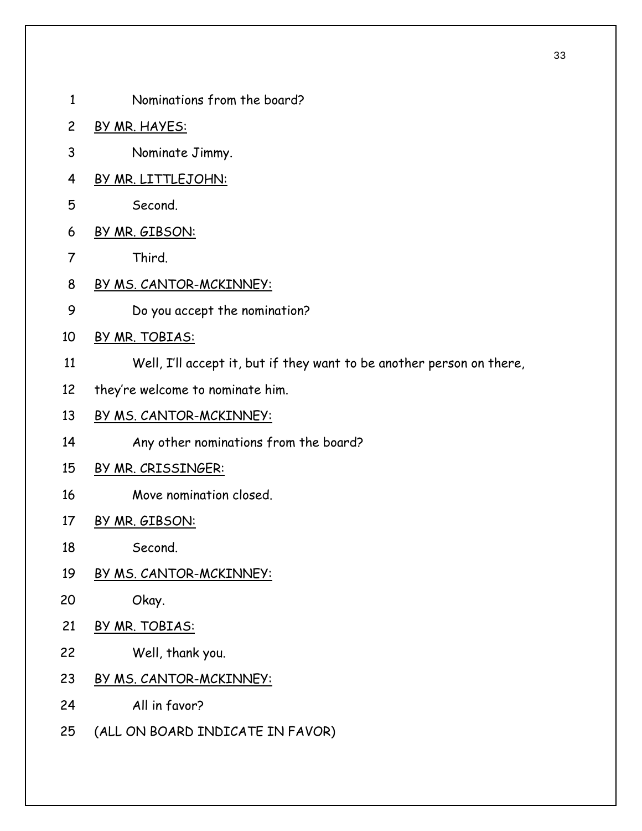1 Nominations from the board? 2 BY MR. HAYES: 3 Nominate Jimmy. 4 BY MR. LITTLEJOHN: 5 Second. 6 BY MR. GIBSON: 7 Third. 8 BY MS. CANTOR-MCKINNEY: 9 Do you accept the nomination? 10 BY MR. TOBIAS: 11 12 Well, I'll accept it, but if they want to be another person on there, they're welcome to nominate him. 13 BY MS. CANTOR-MCKINNEY: 14 Any other nominations from the board? 15 BY MR. CRISSINGER: 16 Move nomination closed. 17 BY MR. GIBSON: 18 Second. 19 BY MS. CANTOR-MCKINNEY: 20 Okay. 21 BY MR. TOBIAS: 22 Well, thank you. 23 BY MS. CANTOR-MCKINNEY: 24 25 All in favor? (ALL ON BOARD INDICATE IN FAVOR)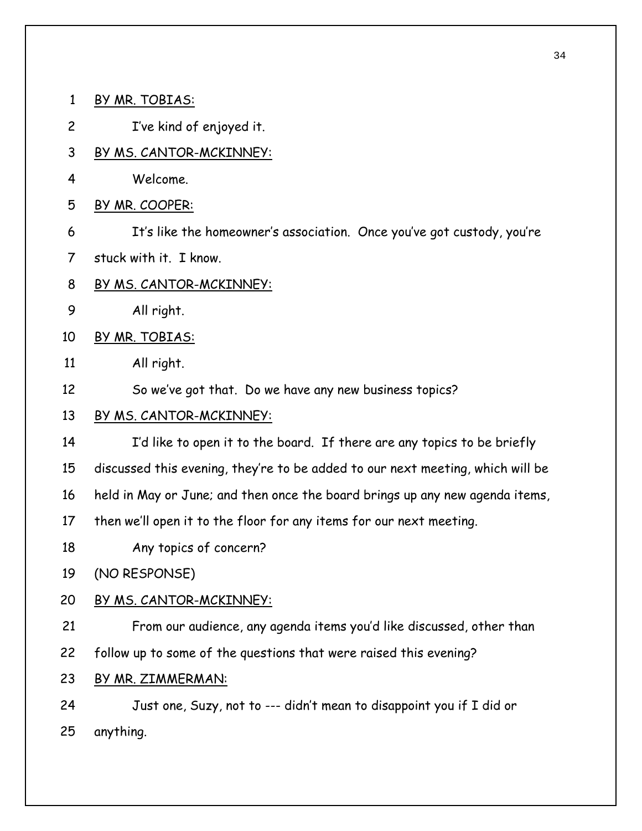1 BY MR. TOBIAS: 2 I've kind of enjoyed it. 3 BY MS. CANTOR-MCKINNEY: 4 Welcome. 5 BY MR. COOPER: 6 7 It's like the homeowner's association. Once you've got custody, you're stuck with it. I know. 8 BY MS. CANTOR-MCKINNEY: 9 All right. 10 BY MR. TOBIAS: 11 12 All right. So we've got that. Do we have any new business topics? 13 BY MS. CANTOR-MCKINNEY: 14 15 16 17 18 19 I'd like to open it to the board. If there are any topics to be briefly discussed this evening, they're to be added to our next meeting, which will be held in May or June; and then once the board brings up any new agenda items, then we'll open it to the floor for any items for our next meeting. Any topics of concern? (NO RESPONSE) 20 BY MS. CANTOR-MCKINNEY: 21 22 From our audience, any agenda items you'd like discussed, other than follow up to some of the questions that were raised this evening? 23 BY MR. ZIMMERMAN: 24 25 Just one, Suzy, not to --- didn't mean to disappoint you if I did or anything.

34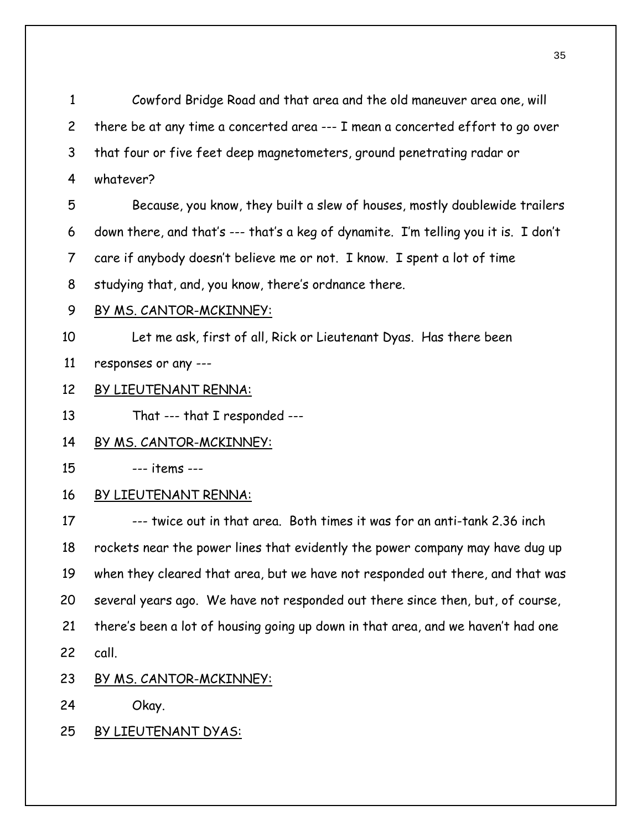Cowford Bridge Road and that area and the old maneuver area one, will there be at any time a concerted area --- I mean a concerted effort to go over that four or five feet deep magnetometers, ground penetrating radar or whatever? 1 2 3 4 5 6 7 8 Because, you know, they built a slew of houses, mostly doublewide trailers down there, and that's --- that's a keg of dynamite. I'm telling you it is. I don't care if anybody doesn't believe me or not. I know. I spent a lot of time studying that, and, you know, there's ordnance there. 9 BY MS. CANTOR-MCKINNEY: 10 11 Let me ask, first of all, Rick or Lieutenant Dyas. Has there been responses or any --- 12 BY LIEUTENANT RENNA: 13 That --- that I responded --- 14 BY MS. CANTOR-MCKINNEY: 15 --- items --- 16 BY LIEUTENANT RENNA: 17 18 19 20 21 22 --- twice out in that area. Both times it was for an anti-tank 2.36 inch rockets near the power lines that evidently the power company may have dug up when they cleared that area, but we have not responded out there, and that was several years ago. We have not responded out there since then, but, of course, there's been a lot of housing going up down in that area, and we haven't had one call.

23 BY MS. CANTOR-MCKINNEY:

24 Okay.

25 BY LIEUTENANT DYAS: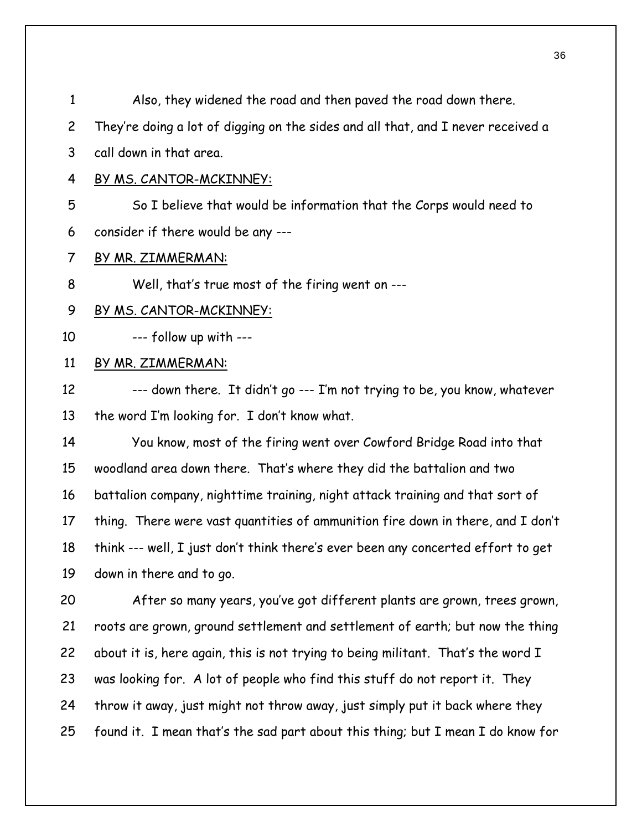| $\mathbf{1}$   | Also, they widened the road and then paved the road down there.                  |
|----------------|----------------------------------------------------------------------------------|
| $\overline{c}$ | They're doing a lot of digging on the sides and all that, and I never received a |
| 3              | call down in that area.                                                          |
| 4              | BY MS. CANTOR-MCKINNEY:                                                          |
| 5              | So I believe that would be information that the Corps would need to              |
| 6              | consider if there would be any ---                                               |
| $\overline{7}$ | BY MR. ZIMMERMAN:                                                                |
| 8              | Well, that's true most of the firing went on ---                                 |
| 9              | <u>BY MS. CANTOR-MCKINNEY:</u>                                                   |
| 10             | --- follow up with ---                                                           |
| 11             | BY MR. ZIMMERMAN:                                                                |
| 12             | --- down there. It didn't go --- I'm not trying to be, you know, whatever        |
| 13             | the word I'm looking for. I don't know what.                                     |
| 14             | You know, most of the firing went over Cowford Bridge Road into that             |
| 15             | woodland area down there. That's where they did the battalion and two            |
| 16             | battalion company, nighttime training, night attack training and that sort of    |
| 17             | thing. There were vast quantities of ammunition fire down in there, and I don't  |
| 18             | think --- well, I just don't think there's ever been any concerted effort to get |
| 19             | down in there and to go.                                                         |
| 20             | After so many years, you've got different plants are grown, trees grown,         |
| 21             | roots are grown, ground settlement and settlement of earth; but now the thing    |
| 22             | about it is, here again, this is not trying to being militant. That's the word I |
| 23             | was looking for. A lot of people who find this stuff do not report it. They      |
| 24             | throw it away, just might not throw away, just simply put it back where they     |
|                |                                                                                  |

25 found it. I mean that's the sad part about this thing; but I mean I do know for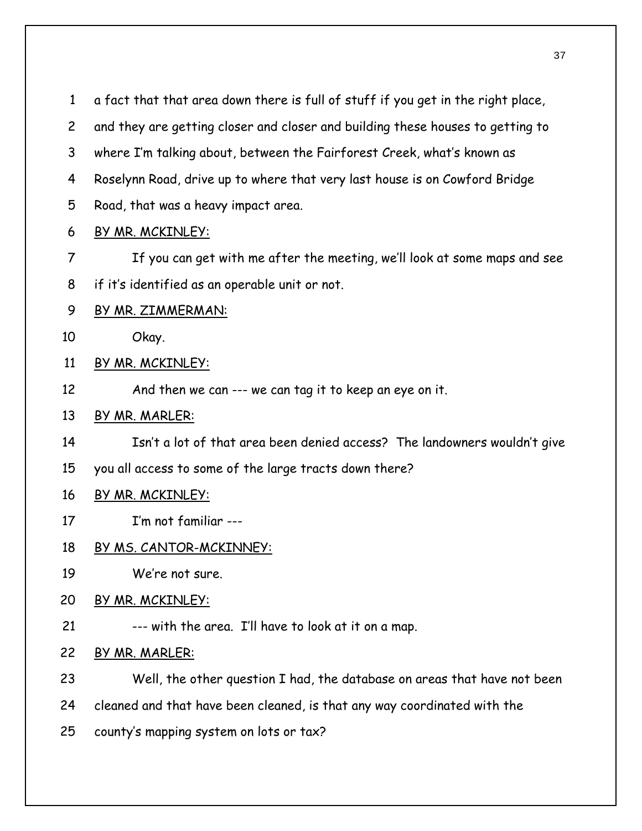a fact that that area down there is full of stuff if you get in the right place, 1

- and they are getting closer and closer and building these houses to getting to 2
- where I'm talking about, between the Fairforest Creek, what's known as 3
- Roselynn Road, drive up to where that very last house is on Cowford Bridge 4
- Road, that was a heavy impact area. 5
- 6 BY MR. MCKINLEY:
- 7 8 If you can get with me after the meeting, we'll look at some maps and see if it's identified as an operable unit or not.
- 9 BY MR. ZIMMERMAN:

10 Okay.

- 11 BY MR. MCKINLEY:
- 12 And then we can --- we can tag it to keep an eye on it.
- 13 BY MR. MARLER:
- 14 Isn't a lot of that area been denied access? The landowners wouldn't give
- 15 you all access to some of the large tracts down there?
- 16 BY MR. MCKINLEY:
- 17 I'm not familiar ---
- 18 BY MS. CANTOR-MCKINNEY:
- 19 We're not sure.
- 20 BY MR. MCKINLEY:
- 21 --- with the area. I'll have to look at it on a map.
- 22 BY MR. MARLER:
- 23 Well, the other question I had, the database on areas that have not been
- 24 cleaned and that have been cleaned, is that any way coordinated with the
- 25 county's mapping system on lots or tax?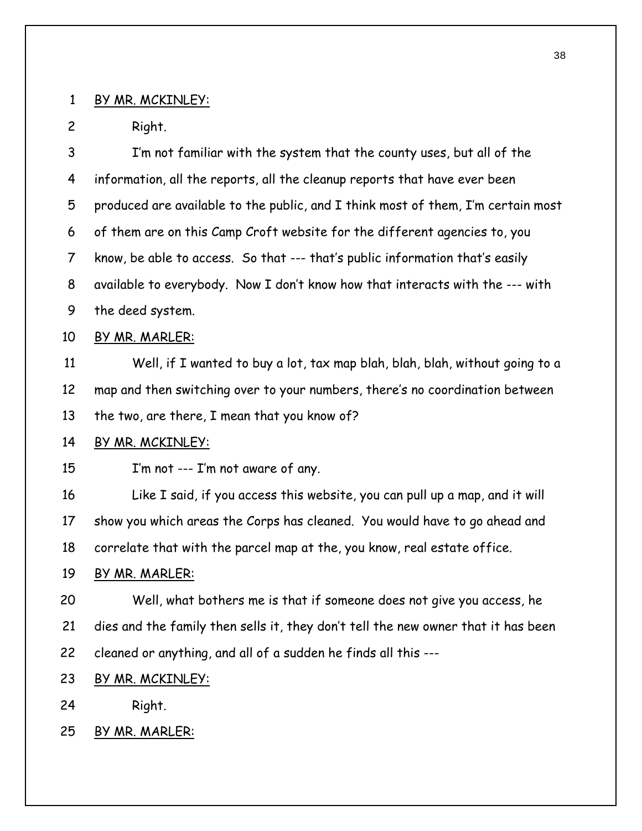#### 1 BY MR. MCKINLEY:

2 Right.

3 4 5 6 7 8 9 I'm not familiar with the system that the county uses, but all of the information, all the reports, all the cleanup reports that have ever been produced are available to the public, and I think most of them, I'm certain most of them are on this Camp Croft website for the different agencies to, you know, be able to access. So that --- that's public information that's easily available to everybody. Now I don't know how that interacts with the --- with the deed system. 10 BY MR. MARLER: 11 12 13 Well, if I wanted to buy a lot, tax map blah, blah, blah, without going to a map and then switching over to your numbers, there's no coordination between the two, are there, I mean that you know of? 14 BY MR. MCKINLEY: 15 16 I'm not --- I'm not aware of any. Like I said, if you access this website, you can pull up a map, and it will

17 18 show you which areas the Corps has cleaned. You would have to go ahead and correlate that with the parcel map at the, you know, real estate office.

#### 19 BY MR. MARLER:

20 21 22 Well, what bothers me is that if someone does not give you access, he dies and the family then sells it, they don't tell the new owner that it has been cleaned or anything, and all of a sudden he finds all this ---

23 BY MR. MCKINLEY:

24 Right.

25 BY MR. MARLER: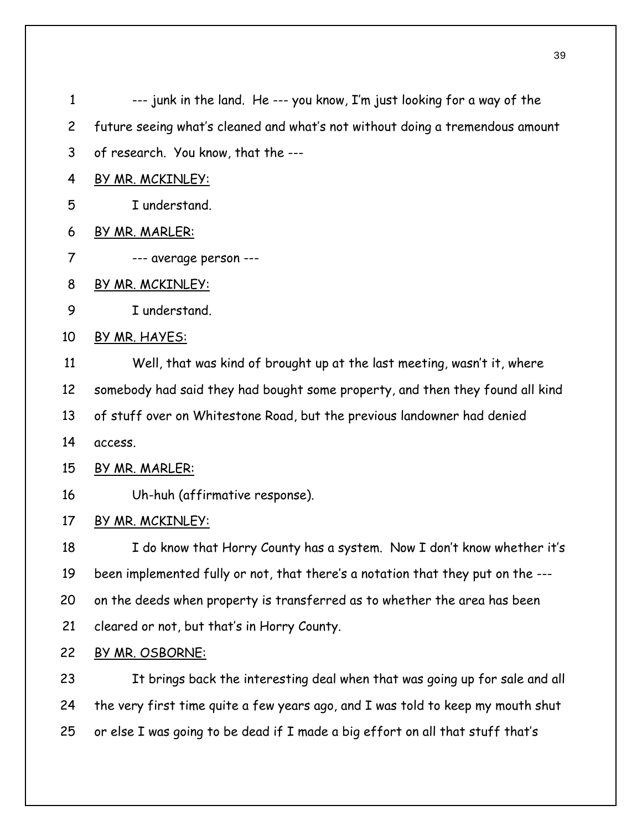| $\mathbf{1}$   | --- junk in the land. He --- you know, I'm just looking for a way of the        |
|----------------|---------------------------------------------------------------------------------|
| $\overline{2}$ | future seeing what's cleaned and what's not without doing a tremendous amount   |
| 3              | of research. You know, that the ---                                             |
| 4              | BY MR. MCKINLEY:                                                                |
| 5              | I understand.                                                                   |
| 6              | BY MR. MARLER:                                                                  |
| 7              | --- average person ---                                                          |
| 8              | <u>BY MR. MCKINLEY:</u>                                                         |
| 9              | I understand.                                                                   |
| 10             | BY MR. HAYES:                                                                   |
| 11             | Well, that was kind of brought up at the last meeting, wasn't it, where         |
| 12             | somebody had said they had bought some property, and then they found all kind   |
| 13             | of stuff over on Whitestone Road, but the previous landowner had denied         |
| 14             | access.                                                                         |
| 15             | BY MR. MARLER:                                                                  |
| 16             | Uh-huh (affirmative response).                                                  |
| 17             | BY MR. MCKINLEY:                                                                |
| 18             | I do know that Horry County has a system. Now I don't know whether it's         |
| 19             | been implemented fully or not, that there's a notation that they put on the --- |
| 20             | on the deeds when property is transferred as to whether the area has been       |
| 21             | cleared or not, but that's in Horry County.                                     |
| 22             | BY MR. OSBORNE:                                                                 |
| 23             | It brings back the interesting deal when that was going up for sale and all     |
| 24             | the very first time quite a few years ago, and I was told to keep my mouth shut |
| 25             | or else I was going to be dead if I made a big effort on all that stuff that's  |
|                |                                                                                 |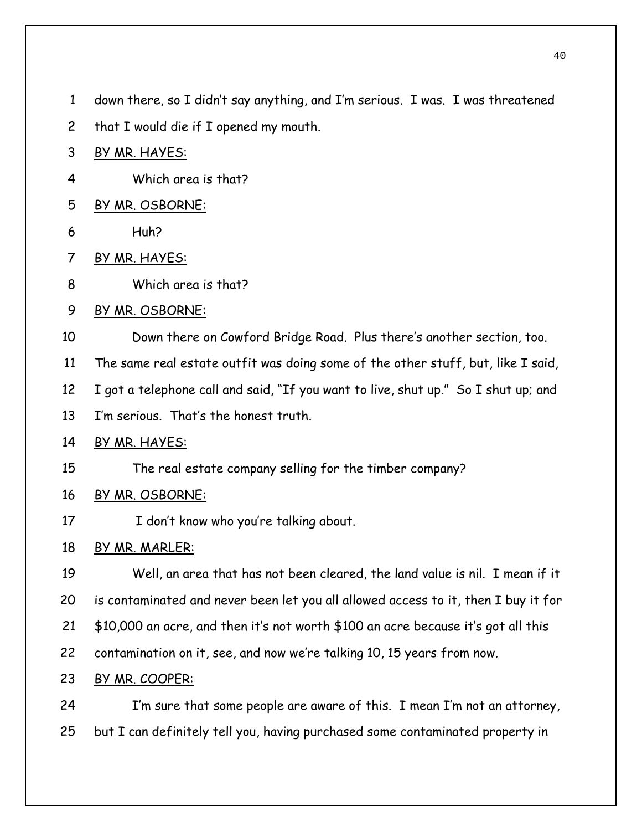- down there, so I didn't say anything, and I'm serious. I was. I was threatened 1
- that I would die if I opened my mouth. 2
- 3 BY MR. HAYES:
- 4 Which area is that?
- 5 BY MR. OSBORNE:
- 6 Huh?
- 7 BY MR. HAYES:
- 8 Which area is that?
- 9 BY MR. OSBORNE:
- 10 Down there on Cowford Bridge Road. Plus there's another section, too.
- 11 The same real estate outfit was doing some of the other stuff, but, like I said,
- 12 I got a telephone call and said, "If you want to live, shut up." So I shut up; and
- 13 I'm serious. That's the honest truth.
- 14 BY MR. HAYES:
- 15 The real estate company selling for the timber company?
- 16 BY MR. OSBORNE:
- 17 I don't know who you're talking about.
- 18 BY MR. MARLER:
- 19 20 21 Well, an area that has not been cleared, the land value is nil. I mean if it is contaminated and never been let you all allowed access to it, then I buy it for \$10,000 an acre, and then it's not worth \$100 an acre because it's got all this
- 22 contamination on it, see, and now we're talking 10, 15 years from now.
- 23 BY MR. COOPER:
- 24 25 I'm sure that some people are aware of this. I mean I'm not an attorney, but I can definitely tell you, having purchased some contaminated property in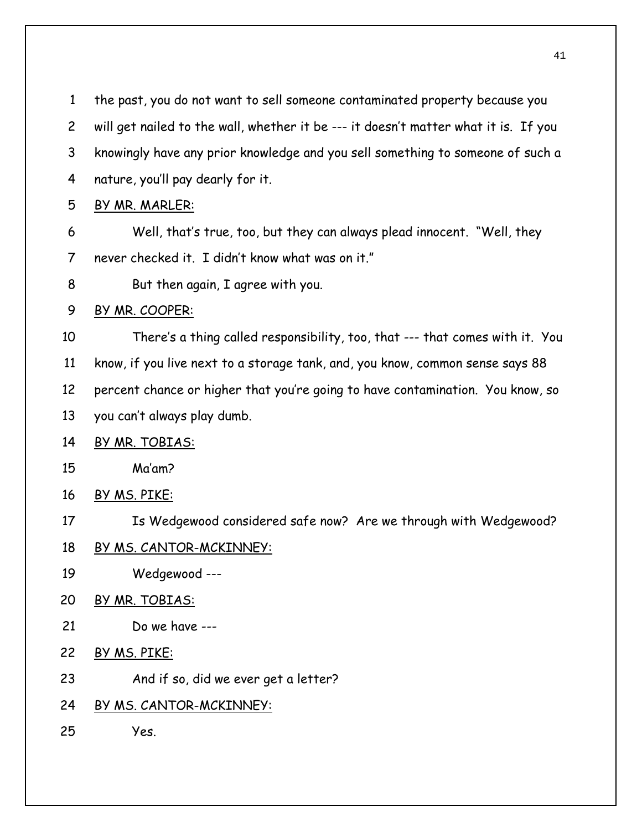| $\mathbf{1}$   | the past, you do not want to sell someone contaminated property because you         |
|----------------|-------------------------------------------------------------------------------------|
| $\overline{c}$ | will get nailed to the wall, whether it be --- it doesn't matter what it is. If you |
| 3              | knowingly have any prior knowledge and you sell something to someone of such a      |
| 4              | nature, you'll pay dearly for it.                                                   |
| 5              | BY MR. MARLER:                                                                      |
| 6              | Well, that's true, too, but they can always plead innocent. "Well, they             |
| 7              | never checked it. I didn't know what was on it."                                    |
| 8              | But then again, I agree with you.                                                   |
| 9              | BY MR. COOPER:                                                                      |
| 10             | There's a thing called responsibility, too, that --- that comes with it. You        |
| 11             | know, if you live next to a storage tank, and, you know, common sense says 88       |
| 12             | percent chance or higher that you're going to have contamination. You know, so      |
| 13             | you can't always play dumb.                                                         |
| 14             | BY MR. TOBIAS:                                                                      |
| 15             | Ma'am?                                                                              |
| 16             | BY MS. PIKE:                                                                        |
| 17             | Is Wedgewood considered safe now? Are we through with Wedgewood?                    |
| 18             | BY MS. CANTOR-MCKINNEY:                                                             |
| 19             | Wedgewood ---                                                                       |
| 20             | BY MR. TOBIAS:                                                                      |
| 21             | Do we have ---                                                                      |
| 22             | <u>BY MS. PIKE:</u>                                                                 |
| 23             | And if so, did we ever get a letter?                                                |
| 24             | BY MS. CANTOR-MCKINNEY:                                                             |
| 25             | Yes.                                                                                |
|                |                                                                                     |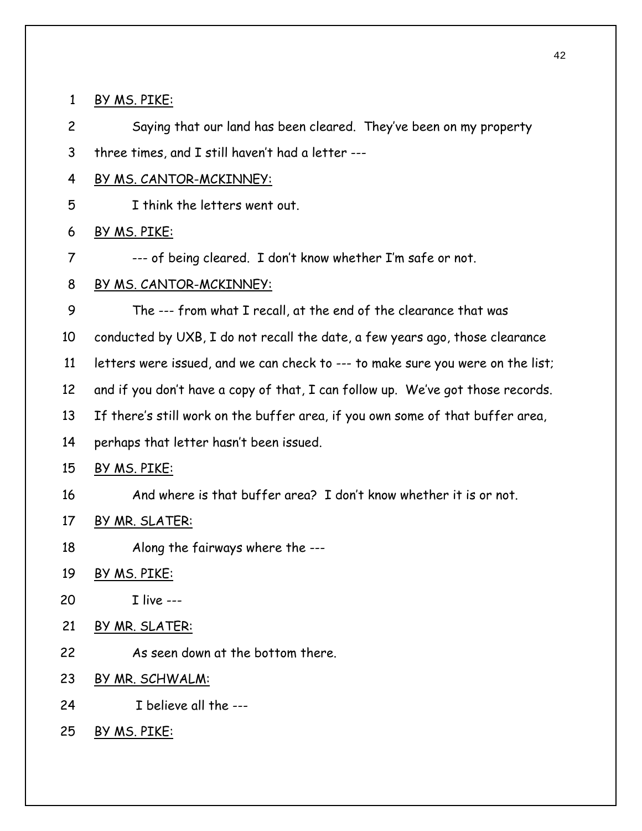1 BY MS. PIKE:

2 Saying that our land has been cleared. They've been on my property

3 three times, and I still haven't had a letter ---

4 BY MS. CANTOR-MCKINNEY:

5 I think the letters went out.

6 BY MS. PIKE:

7 --- of being cleared. I don't know whether I'm safe or not.

# 8 BY MS. CANTOR-MCKINNEY:

9 The --- from what I recall, at the end of the clearance that was

10 conducted by UXB, I do not recall the date, a few years ago, those clearance

11 letters were issued, and we can check to --- to make sure you were on the list;

12 and if you don't have a copy of that, I can follow up. We've got those records.

13 If there's still work on the buffer area, if you own some of that buffer area,

14 perhaps that letter hasn't been issued.

15 BY MS. PIKE:

16 And where is that buffer area? I don't know whether it is or not.

- 17 BY MR. SLATER:
- 18 Along the fairways where the ---
- 19 BY MS. PIKE:
- 20 I live ---
- 21 BY MR. SLATER:
- 22 As seen down at the bottom there.
- 23 BY MR. SCHWALM:
- 24 I believe all the ---
- 25 BY MS. PIKE: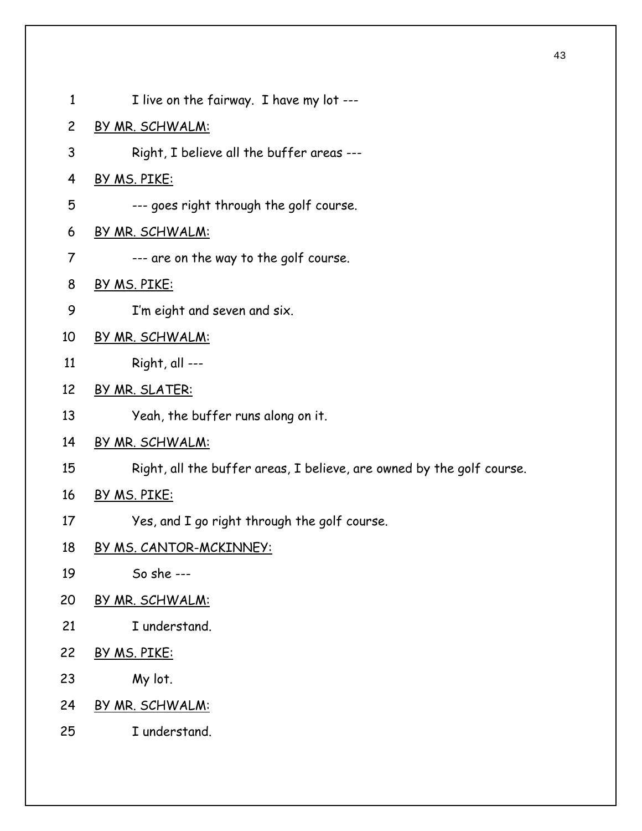| $\mathbf{1}$   | I live on the fairway. I have my lot ---                              |
|----------------|-----------------------------------------------------------------------|
| $\overline{c}$ | <u>BY MR. SCHWALM:</u>                                                |
| 3              | Right, I believe all the buffer areas ---                             |
| 4              | BY MS. PIKE:                                                          |
| 5              | --- goes right through the golf course.                               |
| 6              | <u>BY MR. SCHWALM:</u>                                                |
| $\overline{7}$ | --- are on the way to the golf course.                                |
| 8              | <u>BY MS. PIKE:</u>                                                   |
| 9              | I'm eight and seven and six.                                          |
| 10             | BY MR. SCHWALM:                                                       |
| 11             | Right, all ---                                                        |
| 12             | BY MR. SLATER:                                                        |
| 13             | Yeah, the buffer runs along on it.                                    |
| 14             | BY MR. SCHWALM:                                                       |
| 15             | Right, all the buffer areas, I believe, are owned by the golf course. |
| 16             | BY MS. PIKE:                                                          |
| 17             | Yes, and I go right through the golf course.                          |
| 18             | <u>BY MS. CANTOR-MCKINNEY:</u>                                        |
| 19             | So she ---                                                            |
| 20             | <u>BY MR. SCHWALM:</u>                                                |
| 21             | I understand.                                                         |
| 22             | BY MS. PIKE:                                                          |
| 23             | My lot.                                                               |
| 24             | BY MR. SCHWALM:                                                       |
| 25             | I understand.                                                         |
|                |                                                                       |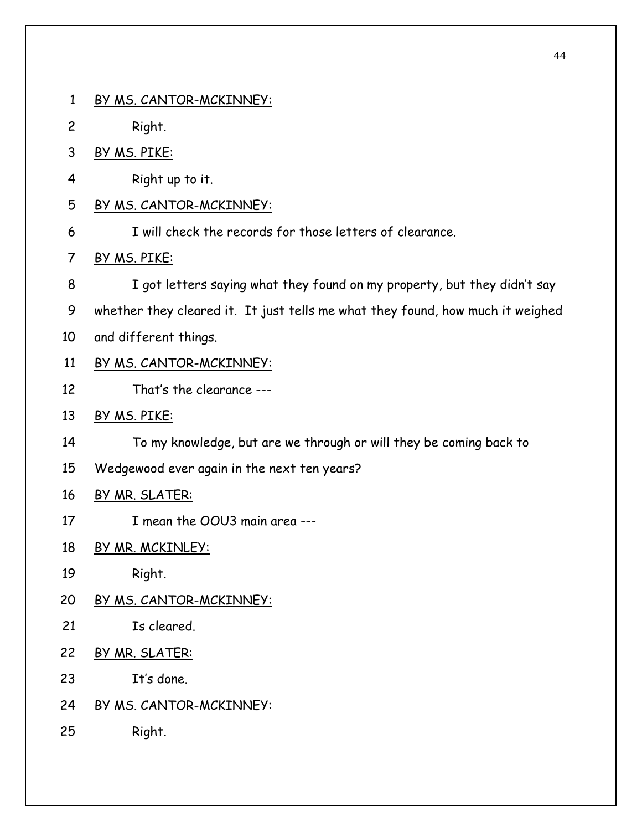1 BY MS. CANTOR-MCKINNEY: 2 Right. 3 BY MS. PIKE: 4 Right up to it. 5 BY MS. CANTOR-MCKINNEY: 6 I will check the records for those letters of clearance. 7 BY MS. PIKE: 8 9 10 I got letters saying what they found on my property, but they didn't say whether they cleared it. It just tells me what they found, how much it weighed and different things. 11 BY MS. CANTOR-MCKINNEY: 12 That's the clearance --- 13 BY MS. PIKE: 14 15 To my knowledge, but are we through or will they be coming back to Wedgewood ever again in the next ten years? 16 BY MR. SLATER: 17 I mean the OOU3 main area ---18 BY MR. MCKINLEY: 19 Right. 20 BY MS. CANTOR-MCKINNEY: 21 Is cleared. 22 BY MR. SLATER: 23 It's done. 24 BY MS. CANTOR-MCKINNEY: 25 Right.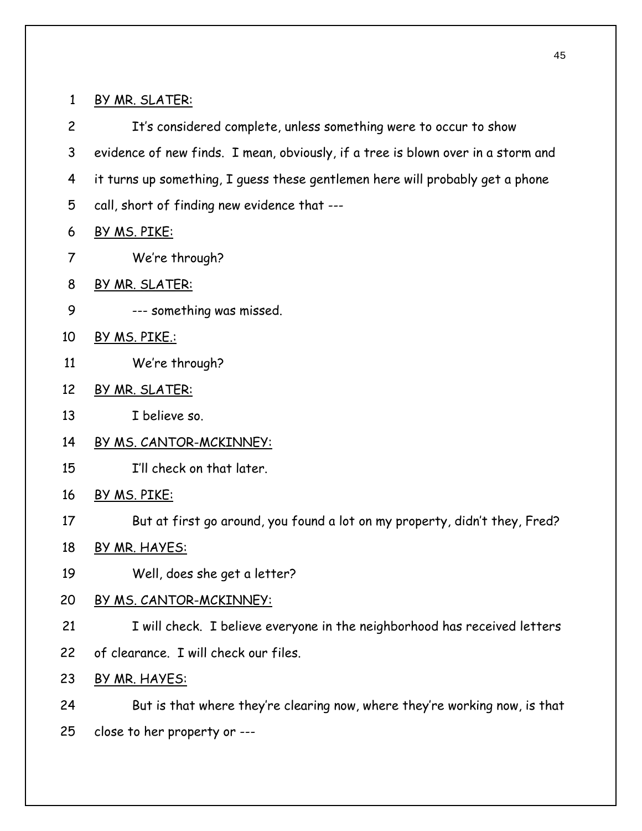1 BY MR. SLATER:

2 3 4 It's considered complete, unless something were to occur to show evidence of new finds. I mean, obviously, if a tree is blown over in a storm and it turns up something, I guess these gentlemen here will probably get a phone

- 5 call, short of finding new evidence that ---
- 6 BY MS. PIKE:
- 7 We're through?
- 8 BY MR. SLATER:
- 9 --- something was missed.
- 10 BY MS. PIKE.:
- 11 We're through?
- 12 BY MR. SLATER:
- 13 I believe so.
- 14 BY MS. CANTOR-MCKINNEY:
- 15 I'll check on that later.
- 16 BY MS. PIKE:
- 17 But at first go around, you found a lot on my property, didn't they, Fred?
- 18 BY MR. HAYES:
- 19 Well, does she get a letter?
- 20 BY MS. CANTOR-MCKINNEY:
- 21 I will check. I believe everyone in the neighborhood has received letters
- 22 of clearance. I will check our files.
- 23 BY MR. HAYES:
- 24 But is that where they're clearing now, where they're working now, is that
- 25 close to her property or ---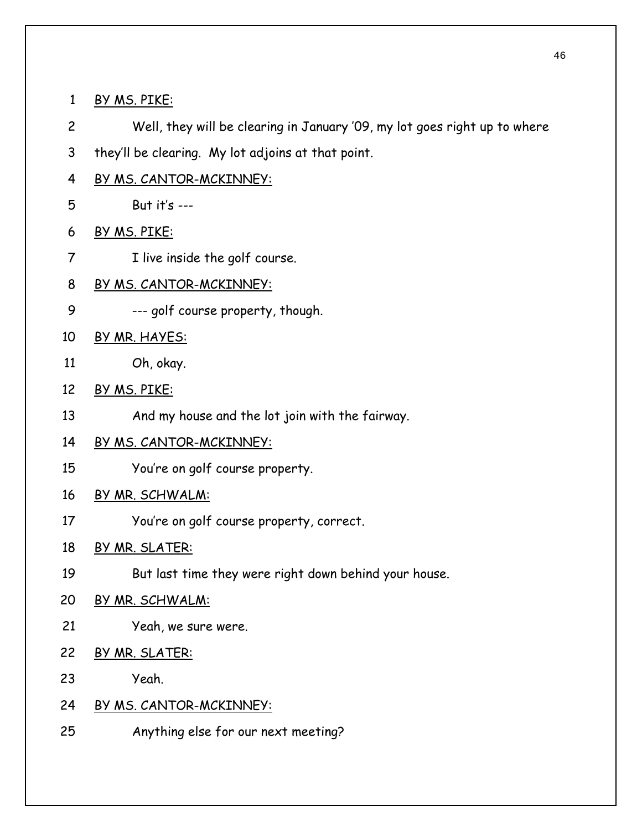- 1 BY MS. PIKE:
- 2 Well, they will be clearing in January '09, my lot goes right up to where
- 3 they'll be clearing. My lot adjoins at that point.
- 4 BY MS. CANTOR-MCKINNEY:
- 5 But it's ---
- 6 BY MS. PIKE:
- 7 I live inside the golf course.
- 8 BY MS. CANTOR-MCKINNEY:
- 9 --- golf course property, though.
- 10 BY MR. HAYES:
- 11 Oh, okay.
- 12 BY MS. PIKE:
- 13 And my house and the lot join with the fairway.
- 14 BY MS. CANTOR-MCKINNEY:
- 15 You're on golf course property.
- 16 BY MR. SCHWALM:
- 17 You're on golf course property, correct.
- 18 BY MR. SLATER:
- 19 But last time they were right down behind your house.
- 20 BY MR. SCHWALM:
- 21 Yeah, we sure were.
- 22 BY MR. SLATER:
- 23 Yeah.
- 24 BY MS. CANTOR-MCKINNEY:
- 25 Anything else for our next meeting?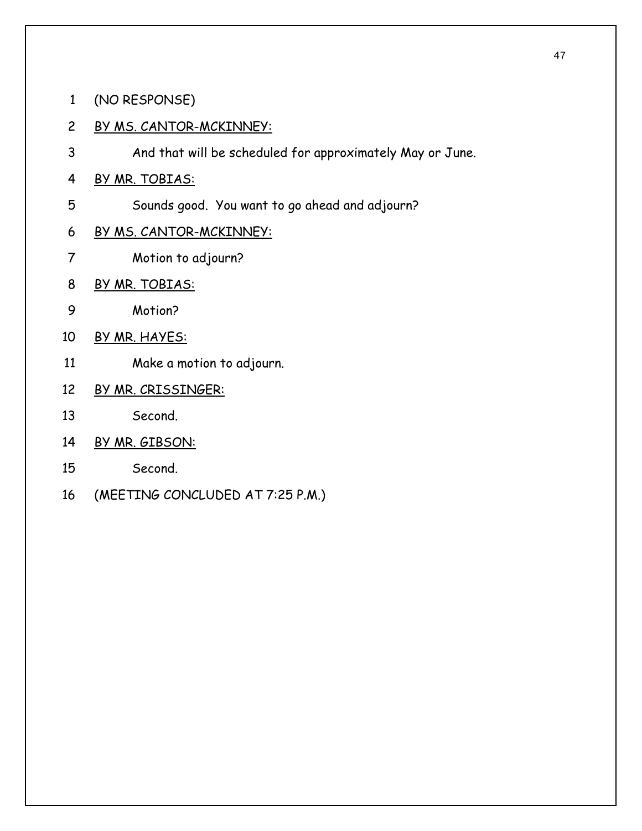- 1 (NO RESPONSE)
- 2 BY MS. CANTOR-MCKINNEY:
- 3 And that will be scheduled for approximately May or June.
- 4 BY MR. TOBIAS:
- 5 Sounds good. You want to go ahead and adjourn?
- 6 BY MS. CANTOR-MCKINNEY:
- 7 Motion to adjourn?
- 8 BY MR. TOBIAS:
- 9 Motion?
- 10 BY MR. HAYES:
- 11 Make a motion to adjourn.
- 12 BY MR. CRISSINGER:
- 13 Second.
- 14 BY MR. GIBSON:
- 15 Second.
- 16 (MEETING CONCLUDED AT 7:25 P.M.)